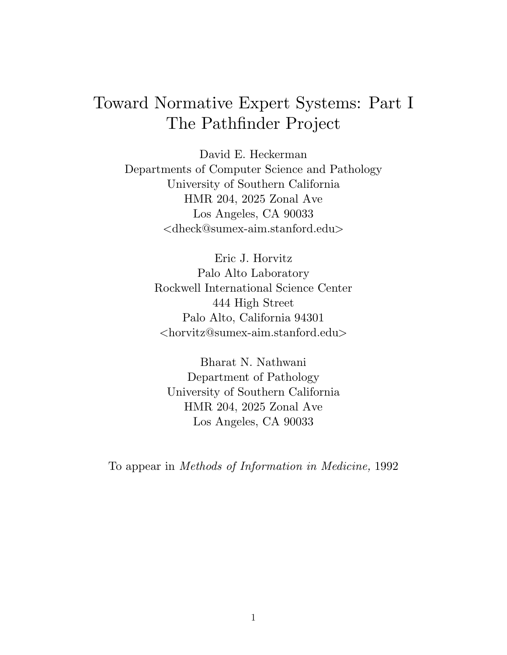# Toward Normative Expert Systems: Part I The Pathfinder Project

David E. Heckerman Departments of Computer Science and Pathology University of Southern California HMR 204, 2025 Zonal Ave Los Angeles, CA 90033 *<*dheck@sumex-aim.stanford.edu*>*

> Eric J. Horvitz Palo Alto Laboratory Rockwell International Science Center 444 High Street Palo Alto, California 94301 *<*horvitz@sumex-aim.stanford.edu*>*

Bharat N. Nathwani Department of Pathology University of Southern California HMR 204, 2025 Zonal Ave Los Angeles, CA 90033

To appear in *Methods of Information in Medicine,* 1992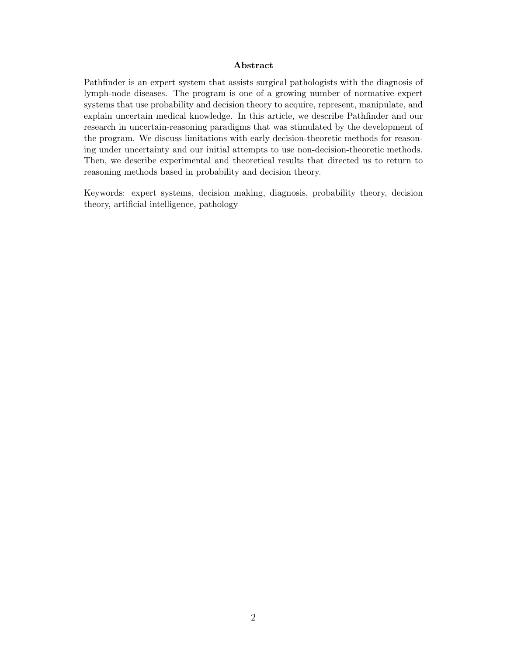#### Abstract

Pathfinder is an expert system that assists surgical pathologists with the diagnosis of lymph-node diseases. The program is one of a growing number of normative expert systems that use probability and decision theory to acquire, represent, manipulate, and explain uncertain medical knowledge. In this article, we describe Pathfinder and our research in uncertain-reasoning paradigms that was stimulated by the development of the program. We discuss limitations with early decision-theoretic methods for reasoning under uncertainty and our initial attempts to use non-decision-theoretic methods. Then, we describe experimental and theoretical results that directed us to return to reasoning methods based in probability and decision theory.

Keywords: expert systems, decision making, diagnosis, probability theory, decision theory, artificial intelligence, pathology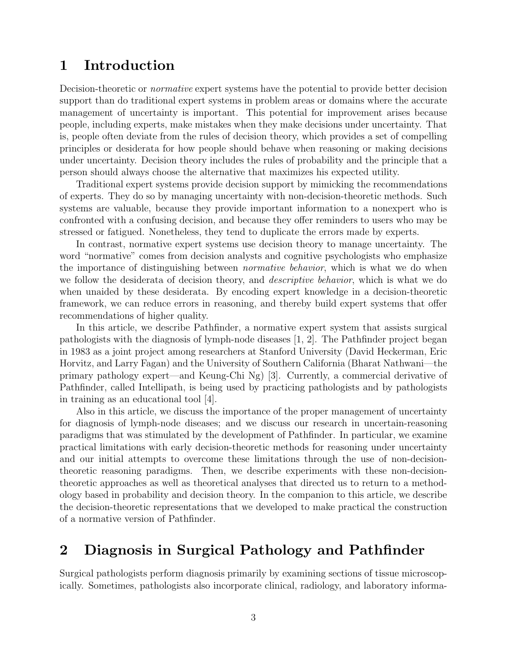### 1 Introduction

Decision-theoretic or normative expert systems have the potential to provide better decision support than do traditional expert systems in problem areas or domains where the accurate management of uncertainty is important. This potential for improvement arises because people, including experts, make mistakes when they make decisions under uncertainty. That is, people often deviate from the rules of decision theory, which provides a set of compelling principles or desiderata for how people should behave when reasoning or making decisions under uncertainty. Decision theory includes the rules of probability and the principle that a person should always choose the alternative that maximizes his expected utility.

Traditional expert systems provide decision support by mimicking the recommendations of experts. They do so by managing uncertainty with non-decision-theoretic methods. Such systems are valuable, because they provide important information to a nonexpert who is confronted with a confusing decision, and because they offer reminders to users who may be stressed or fatigued. Nonetheless, they tend to duplicate the errors made by experts.

In contrast, normative expert systems use decision theory to manage uncertainty. The word "normative" comes from decision analysts and cognitive psychologists who emphasize the importance of distinguishing between normative behavior, which is what we do when we follow the desiderata of decision theory, and *descriptive behavior*, which is what we do when unaided by these desiderata. By encoding expert knowledge in a decision-theoretic framework, we can reduce errors in reasoning, and thereby build expert systems that offer recommendations of higher quality.

In this article, we describe Pathfinder, a normative expert system that assists surgical pathologists with the diagnosis of lymph-node diseases [1, 2]. The Pathfinder project began in 1983 as a joint project among researchers at Stanford University (David Heckerman, Eric Horvitz, and Larry Fagan) and the University of Southern California (Bharat Nathwani—the primary pathology expert—and Keung-Chi Ng) [3]. Currently, a commercial derivative of Pathfinder, called Intellipath, is being used by practicing pathologists and by pathologists in training as an educational tool [4].

Also in this article, we discuss the importance of the proper management of uncertainty for diagnosis of lymph-node diseases; and we discuss our research in uncertain-reasoning paradigms that was stimulated by the development of Pathfinder. In particular, we examine practical limitations with early decision-theoretic methods for reasoning under uncertainty and our initial attempts to overcome these limitations through the use of non-decisiontheoretic reasoning paradigms. Then, we describe experiments with these non-decisiontheoretic approaches as well as theoretical analyses that directed us to return to a methodology based in probability and decision theory. In the companion to this article, we describe the decision-theoretic representations that we developed to make practical the construction of a normative version of Pathfinder.

### 2 Diagnosis in Surgical Pathology and Pathfinder

Surgical pathologists perform diagnosis primarily by examining sections of tissue microscopically. Sometimes, pathologists also incorporate clinical, radiology, and laboratory informa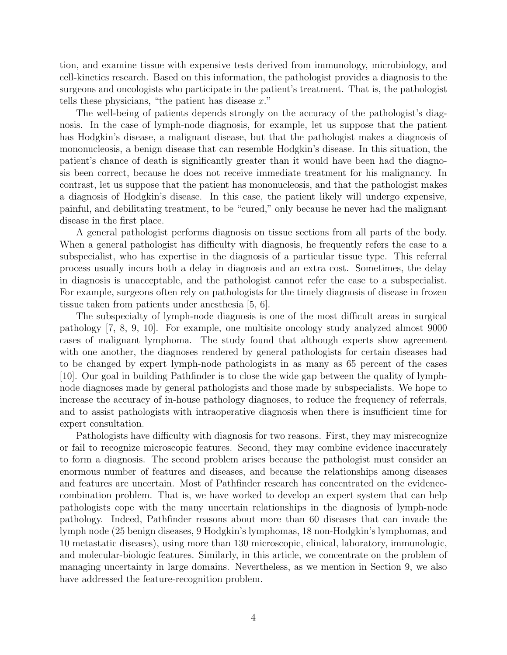tion, and examine tissue with expensive tests derived from immunology, microbiology, and cell-kinetics research. Based on this information, the pathologist provides a diagnosis to the surgeons and oncologists who participate in the patient's treatment. That is, the pathologist tells these physicians, "the patient has disease  $x$ ."

The well-being of patients depends strongly on the accuracy of the pathologist's diagnosis. In the case of lymph-node diagnosis, for example, let us suppose that the patient has Hodgkin's disease, a malignant disease, but that the pathologist makes a diagnosis of mononucleosis, a benign disease that can resemble Hodgkin's disease. In this situation, the patient's chance of death is significantly greater than it would have been had the diagnosis been correct, because he does not receive immediate treatment for his malignancy. In contrast, let us suppose that the patient has mononucleosis, and that the pathologist makes a diagnosis of Hodgkin's disease. In this case, the patient likely will undergo expensive, painful, and debilitating treatment, to be "cured," only because he never had the malignant disease in the first place.

A general pathologist performs diagnosis on tissue sections from all parts of the body. When a general pathologist has difficulty with diagnosis, he frequently refers the case to a subspecialist, who has expertise in the diagnosis of a particular tissue type. This referral process usually incurs both a delay in diagnosis and an extra cost. Sometimes, the delay in diagnosis is unacceptable, and the pathologist cannot refer the case to a subspecialist. For example, surgeons often rely on pathologists for the timely diagnosis of disease in frozen tissue taken from patients under anesthesia [5, 6].

The subspecialty of lymph-node diagnosis is one of the most difficult areas in surgical pathology [7, 8, 9, 10]. For example, one multisite oncology study analyzed almost 9000 cases of malignant lymphoma. The study found that although experts show agreement with one another, the diagnoses rendered by general pathologists for certain diseases had to be changed by expert lymph-node pathologists in as many as 65 percent of the cases [10]. Our goal in building Pathfinder is to close the wide gap between the quality of lymphnode diagnoses made by general pathologists and those made by subspecialists. We hope to increase the accuracy of in-house pathology diagnoses, to reduce the frequency of referrals, and to assist pathologists with intraoperative diagnosis when there is insufficient time for expert consultation.

Pathologists have difficulty with diagnosis for two reasons. First, they may misrecognize or fail to recognize microscopic features. Second, they may combine evidence inaccurately to form a diagnosis. The second problem arises because the pathologist must consider an enormous number of features and diseases, and because the relationships among diseases and features are uncertain. Most of Pathfinder research has concentrated on the evidencecombination problem. That is, we have worked to develop an expert system that can help pathologists cope with the many uncertain relationships in the diagnosis of lymph-node pathology. Indeed, Pathfinder reasons about more than 60 diseases that can invade the lymph node (25 benign diseases, 9 Hodgkin's lymphomas, 18 non-Hodgkin's lymphomas, and 10 metastatic diseases), using more than 130 microscopic, clinical, laboratory, immunologic, and molecular-biologic features. Similarly, in this article, we concentrate on the problem of managing uncertainty in large domains. Nevertheless, as we mention in Section 9, we also have addressed the feature-recognition problem.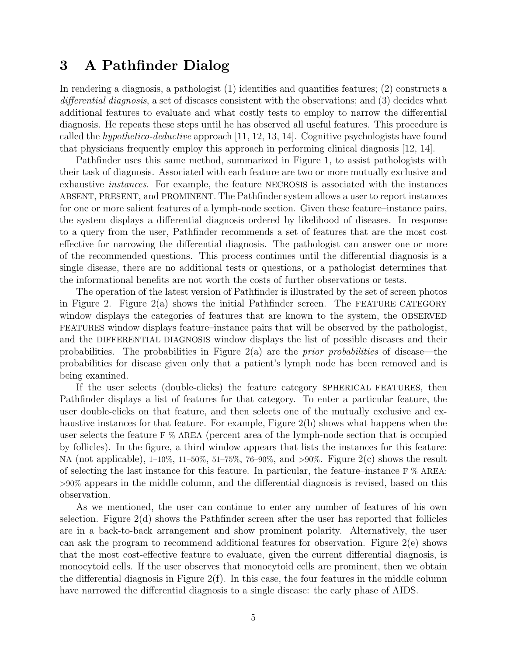### 3 A Pathfinder Dialog

In rendering a diagnosis, a pathologist (1) identifies and quantifies features; (2) constructs a differential diagnosis, a set of diseases consistent with the observations; and (3) decides what additional features to evaluate and what costly tests to employ to narrow the differential diagnosis. He repeats these steps until he has observed all useful features. This procedure is called the *hypothetico-deductive* approach  $[11, 12, 13, 14]$ . Cognitive psychologists have found that physicians frequently employ this approach in performing clinical diagnosis [12, 14].

Pathfinder uses this same method, summarized in Figure 1, to assist pathologists with their task of diagnosis. Associated with each feature are two or more mutually exclusive and exhaustive instances. For example, the feature NECROSIS is associated with the instances ABSENT, PRESENT, and PROMINENT. The Pathfinder system allows a user to report instances for one or more salient features of a lymph-node section. Given these feature–instance pairs, the system displays a differential diagnosis ordered by likelihood of diseases. In response to a query from the user, Pathfinder recommends a set of features that are the most cost effective for narrowing the differential diagnosis. The pathologist can answer one or more of the recommended questions. This process continues until the differential diagnosis is a single disease, there are no additional tests or questions, or a pathologist determines that the informational benefits are not worth the costs of further observations or tests.

The operation of the latest version of Pathfinder is illustrated by the set of screen photos in Figure 2. Figure  $2(a)$  shows the initial Pathfinder screen. The FEATURE CATEGORY window displays the categories of features that are known to the system, the OBSERVED FEATURES window displays feature–instance pairs that will be observed by the pathologist, and the DIFFERENTIAL DIAGNOSIS window displays the list of possible diseases and their probabilities. The probabilities in Figure  $2(a)$  are the *prior probabilities* of disease—the probabilities for disease given only that a patient's lymph node has been removed and is being examined.

If the user selects (double-clicks) the feature category SPHERICAL FEATURES, then Pathfinder displays a list of features for that category. To enter a particular feature, the user double-clicks on that feature, and then selects one of the mutually exclusive and exhaustive instances for that feature. For example, Figure 2(b) shows what happens when the user selects the feature F % AREA (percent area of the lymph-node section that is occupied by follicles). In the figure, a third window appears that lists the instances for this feature: NA (not applicable), 1–10%, 11–50%, 51–75%, 76–90%, and *>*90%. Figure 2(c) shows the result of selecting the last instance for this feature. In particular, the feature–instance F % AREA: *>*90% appears in the middle column, and the differential diagnosis is revised, based on this observation.

As we mentioned, the user can continue to enter any number of features of his own selection. Figure  $2(d)$  shows the Pathfinder screen after the user has reported that follicles are in a back-to-back arrangement and show prominent polarity. Alternatively, the user can ask the program to recommend additional features for observation. Figure 2(e) shows that the most cost-effective feature to evaluate, given the current differential diagnosis, is monocytoid cells. If the user observes that monocytoid cells are prominent, then we obtain the differential diagnosis in Figure  $2(f)$ . In this case, the four features in the middle column have narrowed the differential diagnosis to a single disease: the early phase of AIDS.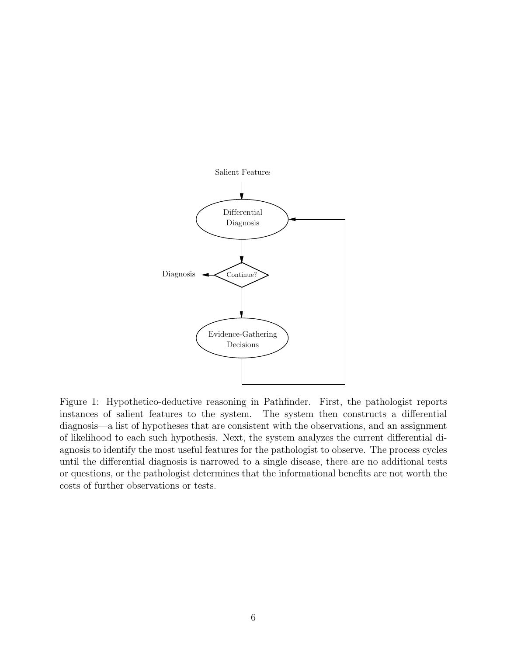

Figure 1: Hypothetico-deductive reasoning in Pathfinder. First, the pathologist reports instances of salient features to the system. The system then constructs a differential diagnosis—a list of hypotheses that are consistent with the observations, and an assignment of likelihood to each such hypothesis. Next, the system analyzes the current differential diagnosis to identify the most useful features for the pathologist to observe. The process cycles until the differential diagnosis is narrowed to a single disease, there are no additional tests or questions, or the pathologist determines that the informational benefits are not worth the costs of further observations or tests.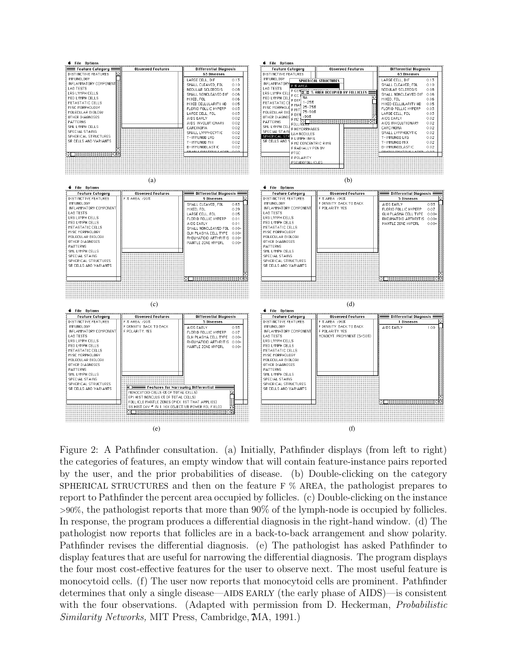

Figure 2: A Pathfinder consultation. (a) Initially, Pathfinder displays (from left to right) the categories of features, an empty window that will contain feature-instance pairs reported by the user, and the prior probabilities of disease. (b) Double-clicking on the category SPHERICAL STRUCTURES and then on the feature F % AREA, the pathologist prepares to report to Pathfinder the percent area occupied by follicles. (c) Double-clicking on the instance *>*90%, the pathologist reports that more than 90% of the lymph-node is occupied by follicles. In response, the program produces a differential diagnosis in the right-hand window. (d) The pathologist now reports that follicles are in a back-to-back arrangement and show polarity. Pathfinder revises the differential diagnosis. (e) The pathologist has asked Pathfinder to display features that are useful for narrowing the differential diagnosis. The program displays the four most cost-effective features for the user to observe next. The most useful feature is monocytoid cells. (f) The user now reports that monocytoid cells are prominent. Pathfinder determines that only a single disease—AIDS EARLY (the early phase of AIDS)—is consistent with the four observations. (Adapted with permission from D. Heckerman, *Probabilistic* Similarity Networks, MIT Press, Cambridge, 7MA, 1991.)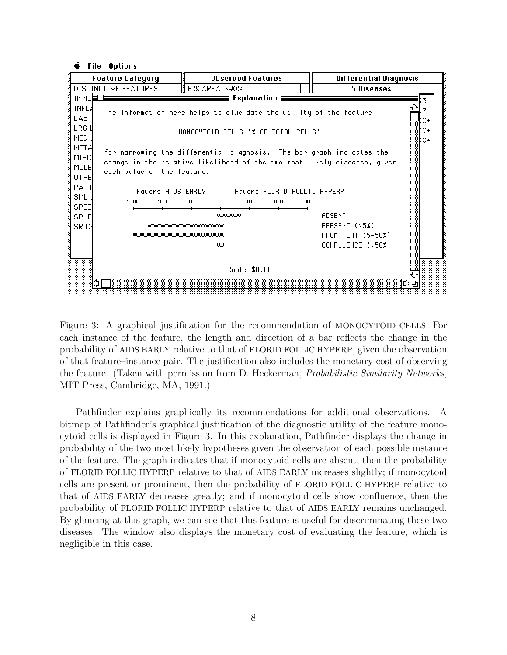#### **É** File Options



Figure 3: A graphical justification for the recommendation of MONOCYTOID CELLS. For each instance of the feature, the length and direction of a bar reflects the change in the probability of AIDS EARLY relative to that of FLORID FOLLIC HYPERP, given the observation of that feature–instance pair. The justification also includes the monetary cost of observing the feature. (Taken with permission from D. Heckerman, Probabilistic Similarity Networks, MIT Press, Cambridge, MA, 1991.)

Pathfinder explains graphically its recommendations for additional observations. A bitmap of Pathfinder's graphical justification of the diagnostic utility of the feature monocytoid cells is displayed in Figure 3. In this explanation, Pathfinder displays the change in probability of the two most likely hypotheses given the observation of each possible instance of the feature. The graph indicates that if monocytoid cells are absent, then the probability of FLORID FOLLIC HYPERP relative to that of AIDS EARLY increases slightly; if monocytoid cells are present or prominent, then the probability of FLORID FOLLIC HYPERP relative to that of AIDS EARLY decreases greatly; and if monocytoid cells show confluence, then the probability of FLORID FOLLIC HYPERP relative to that of AIDS EARLY remains unchanged. By glancing at this graph, we can see that this feature is useful for discriminating these two diseases. The window also displays the monetary cost of evaluating the feature, which is negligible in this case.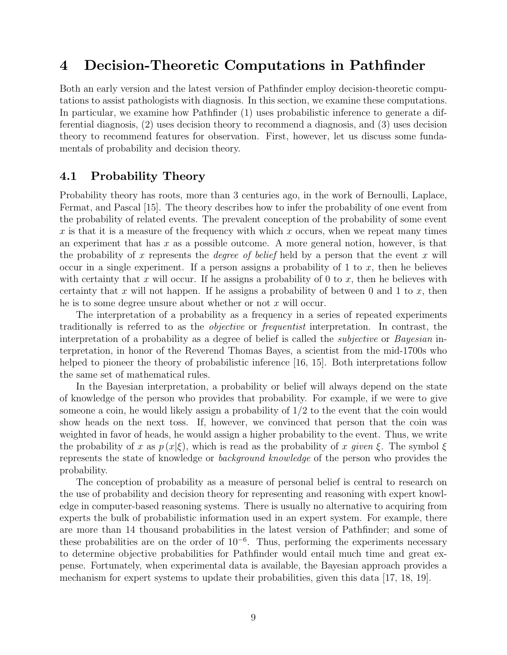### 4 Decision-Theoretic Computations in Pathfinder

Both an early version and the latest version of Pathfinder employ decision-theoretic computations to assist pathologists with diagnosis. In this section, we examine these computations. In particular, we examine how Pathfinder (1) uses probabilistic inference to generate a differential diagnosis, (2) uses decision theory to recommend a diagnosis, and (3) uses decision theory to recommend features for observation. First, however, let us discuss some fundamentals of probability and decision theory.

#### 4.1 Probability Theory

Probability theory has roots, more than 3 centuries ago, in the work of Bernoulli, Laplace, Fermat, and Pascal [15]. The theory describes how to infer the probability of one event from the probability of related events. The prevalent conception of the probability of some event  $x$  is that it is a measure of the frequency with which  $x$  occurs, when we repeat many times an experiment that has  $x$  as a possible outcome. A more general notion, however, is that the probability of x represents the *degree of belief* held by a person that the event x will occur in a single experiment. If a person assigns a probability of 1 to  $x$ , then he believes with certainty that x will occur. If he assigns a probability of 0 to x, then he believes with certainty that x will not happen. If he assigns a probability of between 0 and 1 to  $x$ , then he is to some degree unsure about whether or not x will occur.

The interpretation of a probability as a frequency in a series of repeated experiments traditionally is referred to as the objective or frequentist interpretation. In contrast, the interpretation of a probability as a degree of belief is called the *subjective* or *Bayesian* interpretation, in honor of the Reverend Thomas Bayes, a scientist from the mid-1700s who helped to pioneer the theory of probabilistic inference [16, 15]. Both interpretations follow the same set of mathematical rules.

In the Bayesian interpretation, a probability or belief will always depend on the state of knowledge of the person who provides that probability. For example, if we were to give someone a coin, he would likely assign a probability of  $1/2$  to the event that the coin would show heads on the next toss. If, however, we convinced that person that the coin was weighted in favor of heads, he would assign a higher probability to the event. Thus, we write the probability of x as  $p(x|\xi)$ , which is read as the probability of x given  $\xi$ . The symbol  $\xi$ represents the state of knowledge or background knowledge of the person who provides the probability.

The conception of probability as a measure of personal belief is central to research on the use of probability and decision theory for representing and reasoning with expert knowledge in computer-based reasoning systems. There is usually no alternative to acquiring from experts the bulk of probabilistic information used in an expert system. For example, there are more than 14 thousand probabilities in the latest version of Pathfinder; and some of these probabilities are on the order of  $10^{-6}$ . Thus, performing the experiments necessary to determine objective probabilities for Pathfinder would entail much time and great expense. Fortunately, when experimental data is available, the Bayesian approach provides a mechanism for expert systems to update their probabilities, given this data [17, 18, 19].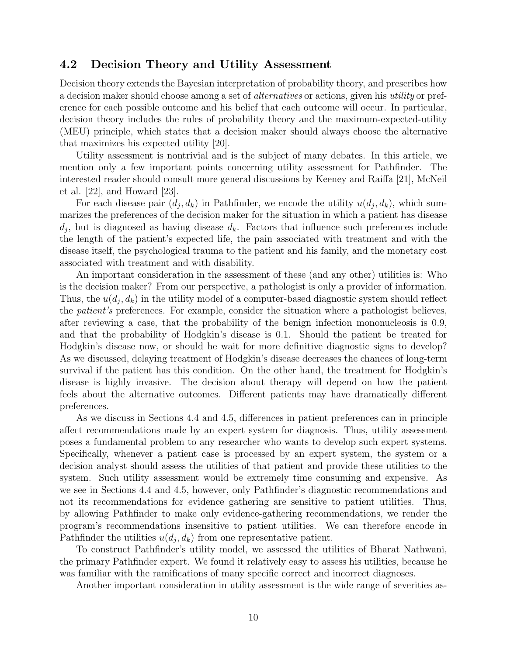#### 4.2 Decision Theory and Utility Assessment

Decision theory extends the Bayesian interpretation of probability theory, and prescribes how a decision maker should choose among a set of alternatives or actions, given his utility or preference for each possible outcome and his belief that each outcome will occur. In particular, decision theory includes the rules of probability theory and the maximum-expected-utility (MEU) principle, which states that a decision maker should always choose the alternative that maximizes his expected utility [20].

Utility assessment is nontrivial and is the subject of many debates. In this article, we mention only a few important points concerning utility assessment for Pathfinder. The interested reader should consult more general discussions by Keeney and Raiffa [21], McNeil et al. [22], and Howard [23].

For each disease pair  $(d_i, d_k)$  in Pathfinder, we encode the utility  $u(d_i, d_k)$ , which summarizes the preferences of the decision maker for the situation in which a patient has disease  $d_i$ , but is diagnosed as having disease  $d_k$ . Factors that influence such preferences include the length of the patient's expected life, the pain associated with treatment and with the disease itself, the psychological trauma to the patient and his family, and the monetary cost associated with treatment and with disability.

An important consideration in the assessment of these (and any other) utilities is: Who is the decision maker? From our perspective, a pathologist is only a provider of information. Thus, the  $u(d_i, d_k)$  in the utility model of a computer-based diagnostic system should reflect the patient's preferences. For example, consider the situation where a pathologist believes, after reviewing a case, that the probability of the benign infection mononucleosis is 0.9, and that the probability of Hodgkin's disease is 0.1. Should the patient be treated for Hodgkin's disease now, or should he wait for more definitive diagnostic signs to develop? As we discussed, delaying treatment of Hodgkin's disease decreases the chances of long-term survival if the patient has this condition. On the other hand, the treatment for Hodgkin's disease is highly invasive. The decision about therapy will depend on how the patient feels about the alternative outcomes. Different patients may have dramatically different preferences.

As we discuss in Sections 4.4 and 4.5, differences in patient preferences can in principle affect recommendations made by an expert system for diagnosis. Thus, utility assessment poses a fundamental problem to any researcher who wants to develop such expert systems. Specifically, whenever a patient case is processed by an expert system, the system or a decision analyst should assess the utilities of that patient and provide these utilities to the system. Such utility assessment would be extremely time consuming and expensive. As we see in Sections 4.4 and 4.5, however, only Pathfinder's diagnostic recommendations and not its recommendations for evidence gathering are sensitive to patient utilities. Thus, by allowing Pathfinder to make only evidence-gathering recommendations, we render the program's recommendations insensitive to patient utilities. We can therefore encode in Pathfinder the utilities  $u(d_i, d_k)$  from one representative patient.

To construct Pathfinder's utility model, we assessed the utilities of Bharat Nathwani, the primary Pathfinder expert. We found it relatively easy to assess his utilities, because he was familiar with the ramifications of many specific correct and incorrect diagnoses.

Another important consideration in utility assessment is the wide range of severities as-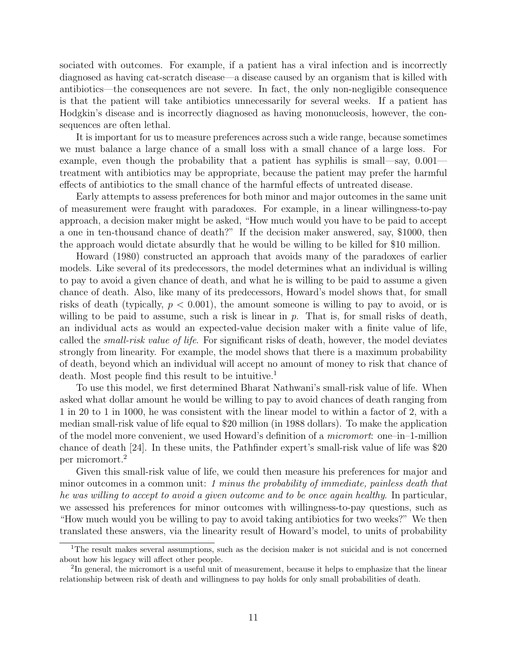sociated with outcomes. For example, if a patient has a viral infection and is incorrectly diagnosed as having cat-scratch disease—a disease caused by an organism that is killed with antibiotics—the consequences are not severe. In fact, the only non-negligible consequence is that the patient will take antibiotics unnecessarily for several weeks. If a patient has Hodgkin's disease and is incorrectly diagnosed as having mononucleosis, however, the consequences are often lethal.

It is important for us to measure preferences across such a wide range, because sometimes we must balance a large chance of a small loss with a small chance of a large loss. For example, even though the probability that a patient has syphilis is small—say, 0.001 treatment with antibiotics may be appropriate, because the patient may prefer the harmful effects of antibiotics to the small chance of the harmful effects of untreated disease.

Early attempts to assess preferences for both minor and major outcomes in the same unit of measurement were fraught with paradoxes. For example, in a linear willingness-to-pay approach, a decision maker might be asked, "How much would you have to be paid to accept a one in ten-thousand chance of death?" If the decision maker answered, say, \$1000, then the approach would dictate absurdly that he would be willing to be killed for \$10 million.

Howard (1980) constructed an approach that avoids many of the paradoxes of earlier models. Like several of its predecessors, the model determines what an individual is willing to pay to avoid a given chance of death, and what he is willing to be paid to assume a given chance of death. Also, like many of its predecessors, Howard's model shows that, for small risks of death (typically,  $p < 0.001$ ), the amount someone is willing to pay to avoid, or is willing to be paid to assume, such a risk is linear in  $p$ . That is, for small risks of death, an individual acts as would an expected-value decision maker with a finite value of life, called the small-risk value of life. For significant risks of death, however, the model deviates strongly from linearity. For example, the model shows that there is a maximum probability of death, beyond which an individual will accept no amount of money to risk that chance of death. Most people find this result to be intuitive.<sup>1</sup>

To use this model, we first determined Bharat Nathwani's small-risk value of life. When asked what dollar amount he would be willing to pay to avoid chances of death ranging from 1 in 20 to 1 in 1000, he was consistent with the linear model to within a factor of 2, with a median small-risk value of life equal to \$20 million (in 1988 dollars). To make the application of the model more convenient, we used Howard's definition of a micromort: one–in–1-million chance of death [24]. In these units, the Pathfinder expert's small-risk value of life was \$20 per micromort.<sup>2</sup>

Given this small-risk value of life, we could then measure his preferences for major and minor outcomes in a common unit: 1 minus the probability of immediate, painless death that he was willing to accept to avoid a given outcome and to be once again healthy. In particular, we assessed his preferences for minor outcomes with willingness-to-pay questions, such as "How much would you be willing to pay to avoid taking antibiotics for two weeks?" We then translated these answers, via the linearity result of Howard's model, to units of probability

<sup>&</sup>lt;sup>1</sup>The result makes several assumptions, such as the decision maker is not suicidal and is not concerned about how his legacy will affect other people.

<sup>2</sup>In general, the micromort is a useful unit of measurement, because it helps to emphasize that the linear relationship between risk of death and willingness to pay holds for only small probabilities of death.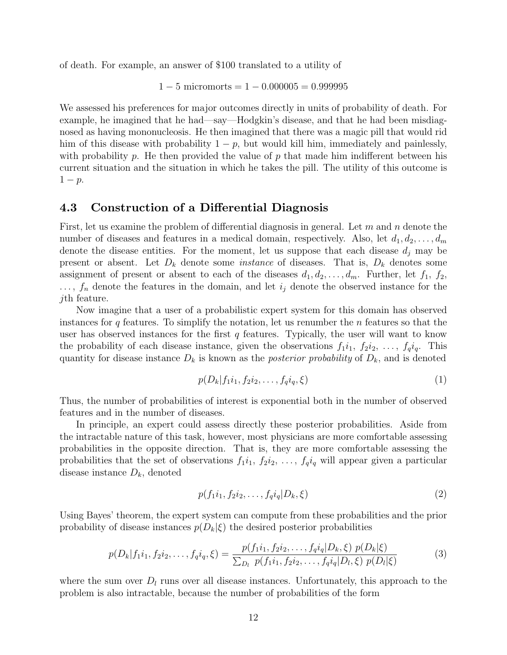of death. For example, an answer of \$100 translated to a utility of

 $1 - 5$  micromorts =  $1 - 0.000005 = 0.999995$ 

We assessed his preferences for major outcomes directly in units of probability of death. For example, he imagined that he had—say—Hodgkin's disease, and that he had been misdiagnosed as having mononucleosis. He then imagined that there was a magic pill that would rid him of this disease with probability  $1 - p$ , but would kill him, immediately and painlessly, with probability p. He then provided the value of p that made him indifferent between his current situation and the situation in which he takes the pill. The utility of this outcome is  $1 - p$ .

#### 4.3 Construction of a Differential Diagnosis

First, let us examine the problem of differential diagnosis in general. Let  $m$  and  $n$  denote the number of diseases and features in a medical domain, respectively. Also, let  $d_1, d_2, \ldots, d_m$ denote the disease entities. For the moment, let us suppose that each disease  $d_j$  may be present or absent. Let  $D_k$  denote some *instance* of diseases. That is,  $D_k$  denotes some assignment of present or absent to each of the diseases  $d_1, d_2, \ldots, d_m$ . Further, let  $f_1, f_2$ ,  $\ldots$ ,  $f_n$  denote the features in the domain, and let  $i_j$  denote the observed instance for the jth feature.

Now imagine that a user of a probabilistic expert system for this domain has observed instances for  $q$  features. To simplify the notation, let us renumber the  $n$  features so that the user has observed instances for the first  $q$  features. Typically, the user will want to know the probability of each disease instance, given the observations  $f_1i_1, f_2i_2, \ldots, f_qi_q$ . This quantity for disease instance  $D_k$  is known as the *posterior probability* of  $D_k$ , and is denoted

$$
p(D_k|f_1i_1, f_2i_2, \dots, f_qi_q, \xi) \tag{1}
$$

Thus, the number of probabilities of interest is exponential both in the number of observed features and in the number of diseases.

In principle, an expert could assess directly these posterior probabilities. Aside from the intractable nature of this task, however, most physicians are more comfortable assessing probabilities in the opposite direction. That is, they are more comfortable assessing the probabilities that the set of observations  $f_1i_1, f_2i_2, \ldots, f_qi_q$  will appear given a particular disease instance  $D_k$ , denoted

$$
p(f_1 i_1, f_2 i_2, \dots, f_q i_q | D_k, \xi) \tag{2}
$$

Using Bayes' theorem, the expert system can compute from these probabilities and the prior probability of disease instances  $p(D_k|\xi)$  the desired posterior probabilities

$$
p(D_k|f_1i_1, f_2i_2, \dots, f_qi_q, \xi) = \frac{p(f_1i_1, f_2i_2, \dots, f_qi_q|D_k, \xi) \ p(D_k|\xi)}{\sum_{D_l} p(f_1i_1, f_2i_2, \dots, f_qi_q|D_l, \xi) \ p(D_l|\xi)}
$$
(3)

where the sum over  $D_l$  runs over all disease instances. Unfortunately, this approach to the problem is also intractable, because the number of probabilities of the form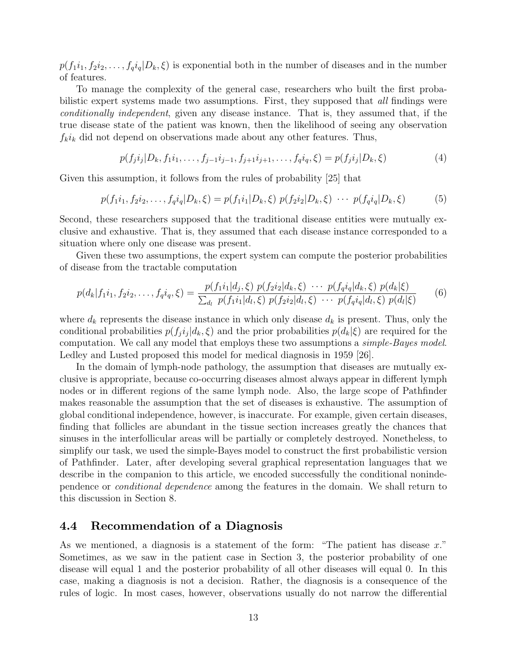$p(f_1i_1, f_2i_2, \ldots, f_qi_q|D_k, \xi)$  is exponential both in the number of diseases and in the number of features.

To manage the complexity of the general case, researchers who built the first probabilistic expert systems made two assumptions. First, they supposed that *all* findings were conditionally independent, given any disease instance. That is, they assumed that, if the true disease state of the patient was known, then the likelihood of seeing any observation  $f_k i_k$  did not depend on observations made about any other features. Thus,

$$
p(f_j i_j | D_k, f_1 i_1, \dots, f_{j-1} i_{j-1}, f_{j+1} i_{j+1}, \dots, f_q i_q, \xi) = p(f_j i_j | D_k, \xi)
$$
\n(4)

Given this assumption, it follows from the rules of probability [25] that

$$
p(f_1i_1, f_2i_2, \dots, f_qi_q|D_k, \xi) = p(f_1i_1|D_k, \xi) \ p(f_2i_2|D_k, \xi) \ \cdots \ p(f_qi_q|D_k, \xi) \tag{5}
$$

Second, these researchers supposed that the traditional disease entities were mutually exclusive and exhaustive. That is, they assumed that each disease instance corresponded to a situation where only one disease was present.

Given these two assumptions, the expert system can compute the posterior probabilities of disease from the tractable computation

$$
p(d_k|f_1i_1, f_2i_2, \dots, f_qi_q, \xi) = \frac{p(f_1i_1|d_j, \xi) \ p(f_2i_2|d_k, \xi) \ \cdots \ p(f_qi_q|d_k, \xi) \ p(d_k|\xi)}{\sum_{d_l} p(f_1i_1|d_l, \xi) \ p(f_2i_2|d_l, \xi) \ \cdots \ p(f_qi_q|d_l, \xi) \ p(d_l|\xi)} \tag{6}
$$

where  $d_k$  represents the disease instance in which only disease  $d_k$  is present. Thus, only the conditional probabilities  $p(f_i i_j | d_k, \xi)$  and the prior probabilities  $p(d_k | \xi)$  are required for the computation. We call any model that employs these two assumptions a *simple-Bayes model*. Ledley and Lusted proposed this model for medical diagnosis in 1959 [26].

In the domain of lymph-node pathology, the assumption that diseases are mutually exclusive is appropriate, because co-occurring diseases almost always appear in different lymph nodes or in different regions of the same lymph node. Also, the large scope of Pathfinder makes reasonable the assumption that the set of diseases is exhaustive. The assumption of global conditional independence, however, is inaccurate. For example, given certain diseases, finding that follicles are abundant in the tissue section increases greatly the chances that sinuses in the interfollicular areas will be partially or completely destroyed. Nonetheless, to simplify our task, we used the simple-Bayes model to construct the first probabilistic version of Pathfinder. Later, after developing several graphical representation languages that we describe in the companion to this article, we encoded successfully the conditional nonindependence or conditional dependence among the features in the domain. We shall return to this discussion in Section 8.

#### 4.4 Recommendation of a Diagnosis

As we mentioned, a diagnosis is a statement of the form: "The patient has disease  $x$ ." Sometimes, as we saw in the patient case in Section 3, the posterior probability of one disease will equal 1 and the posterior probability of all other diseases will equal 0. In this case, making a diagnosis is not a decision. Rather, the diagnosis is a consequence of the rules of logic. In most cases, however, observations usually do not narrow the differential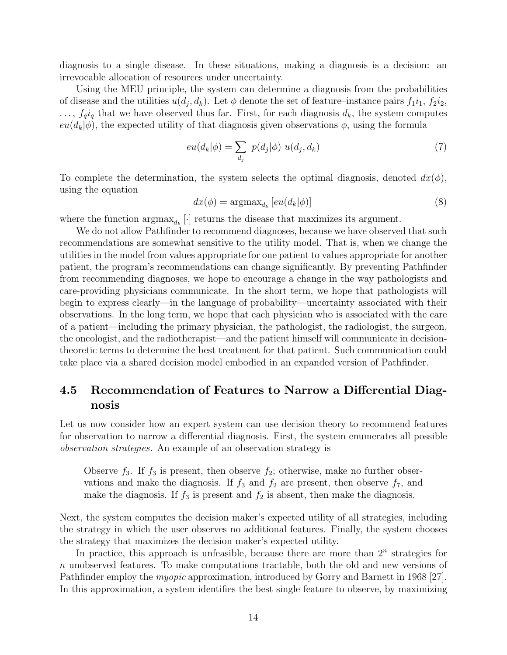diagnosis to a single disease. In these situations, making a diagnosis is a decision: an irrevocable allocation of resources under uncertainty.

Using the MEU principle, the system can determine a diagnosis from the probabilities of disease and the utilities  $u(d_i, d_k)$ . Let  $\phi$  denote the set of feature–instance pairs  $f_1i_1, f_2i_2,$  $\ldots$ ,  $f_q i_q$  that we have observed thus far. First, for each diagnosis  $d_k$ , the system computes  $eu(d_k|\phi)$ , the expected utility of that diagnosis given observations  $\phi$ , using the formula

$$
eu(d_k|\phi) = \sum_{d_j} p(d_j|\phi) u(d_j, d_k)
$$
\n(7)

To complete the determination, the system selects the optimal diagnosis, denoted  $dx(\phi)$ , using the equation

$$
dx(\phi) = \operatorname{argmax}_{d_k} [eu(d_k|\phi)] \tag{8}
$$

where the function  $\arg \max_{d_k} [\cdot]$  returns the disease that maximizes its argument.

We do not allow Pathfinder to recommend diagnoses, because we have observed that such recommendations are somewhat sensitive to the utility model. That is, when we change the utilities in the model from values appropriate for one patient to values appropriate for another patient, the program's recommendations can change significantly. By preventing Pathfinder from recommending diagnoses, we hope to encourage a change in the way pathologists and care-providing physicians communicate. In the short term, we hope that pathologists will begin to express clearly—in the language of probability—uncertainty associated with their observations. In the long term, we hope that each physician who is associated with the care of a patient—including the primary physician, the pathologist, the radiologist, the surgeon, the oncologist, and the radiotherapist—and the patient himself will communicate in decisiontheoretic terms to determine the best treatment for that patient. Such communication could take place via a shared decision model embodied in an expanded version of Pathfinder.

#### 4.5 Recommendation of Features to Narrow a Differential Diagnosis

Let us now consider how an expert system can use decision theory to recommend features for observation to narrow a differential diagnosis. First, the system enumerates all possible observation strategies. An example of an observation strategy is

Observe  $f_3$ . If  $f_3$  is present, then observe  $f_2$ ; otherwise, make no further observations and make the diagnosis. If  $f_3$  and  $f_2$  are present, then observe  $f_7$ , and make the diagnosis. If  $f_3$  is present and  $f_2$  is absent, then make the diagnosis.

Next, the system computes the decision maker's expected utility of all strategies, including the strategy in which the user observes no additional features. Finally, the system chooses the strategy that maximizes the decision maker's expected utility.

In practice, this approach is unfeasible, because there are more than  $2<sup>n</sup>$  strategies for n unobserved features. To make computations tractable, both the old and new versions of Pathfinder employ the *myopic* approximation, introduced by Gorry and Barnett in 1968 [27]. In this approximation, a system identifies the best single feature to observe, by maximizing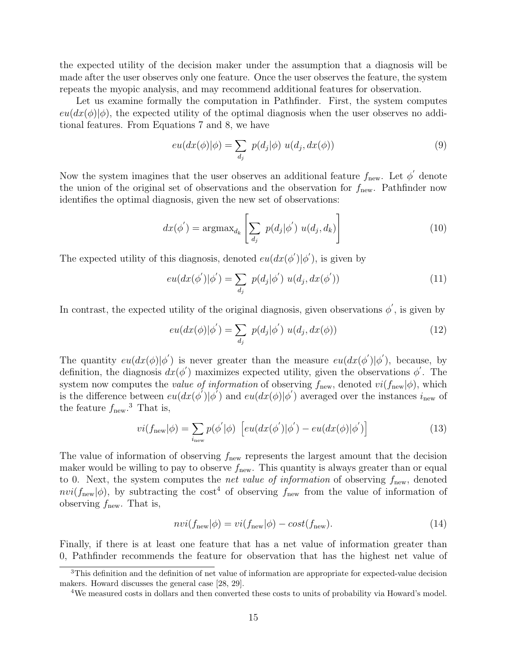the expected utility of the decision maker under the assumption that a diagnosis will be made after the user observes only one feature. Once the user observes the feature, the system repeats the myopic analysis, and may recommend additional features for observation.

Let us examine formally the computation in Pathfinder. First, the system computes  $eu(dx(\phi)|\phi)$ , the expected utility of the optimal diagnosis when the user observes no additional features. From Equations 7 and 8, we have

$$
eu(dx(\phi)|\phi) = \sum_{d_j} p(d_j|\phi) u(d_j, dx(\phi))
$$
\n(9)

Now the system imagines that the user observes an additional feature  $f_{\text{new}}$ . Let  $\phi'$  denote the union of the original set of observations and the observation for  $f_{\text{new}}$ . Pathfinder now identifies the optimal diagnosis, given the new set of observations:

$$
dx(\phi') = \operatorname{argmax}_{d_k} \left[ \sum_{d_j} p(d_j | \phi') u(d_j, d_k) \right]
$$
 (10)

The expected utility of this diagnosis, denoted  $eu(dx(\phi')|\phi')$ , is given by

$$
eu(dx(\phi')|\phi') = \sum_{d_j} p(d_j|\phi') u(d_j, dx(\phi')) \tag{11}
$$

In contrast, the expected utility of the original diagnosis, given observations  $\phi'$ , is given by

$$
eu(dx(\phi)|\phi') = \sum_{d_j} p(d_j|\phi') u(d_j, dx(\phi))
$$
\n(12)

The quantity  $eu(dx(\phi)|\phi')$  is never greater than the measure  $eu(dx(\phi')|\phi')$ , because, by definition, the diagnosis  $dx(\phi')$  maximizes expected utility, given the observations  $\phi'$ . The system now computes the value of information of observing  $f_{\text{new}}$ , denoted  $vi(f_{\text{new}}|\phi)$ , which is the difference between  $eu(dx(\phi')|\phi')$  and  $eu(dx(\phi)|\phi')$  averaged over the instances  $i_{\text{new}}$  of the feature  $f_{\text{new}}$ <sup>3</sup> That is,

$$
vi(f_{\text{new}}|\phi) = \sum_{i_{\text{new}}} p(\phi'|\phi) \left[ eu(dx(\phi')|\phi') - eu(dx(\phi)|\phi') \right] \tag{13}
$$

The value of information of observing  $f_{\text{new}}$  represents the largest amount that the decision maker would be willing to pay to observe  $f_{\text{new}}$ . This quantity is always greater than or equal to 0. Next, the system computes the *net value of information* of observing  $f_{\text{new}}$ , denoted  $nvi(f_{\text{new}}|\phi)$ , by subtracting the cost<sup>4</sup> of observing  $f_{\text{new}}$  from the value of information of observing  $f_{\text{new}}$ . That is,

$$
nvi(f_{\text{new}}|\phi) = vi(f_{\text{new}}|\phi) - cost(f_{\text{new}}). \tag{14}
$$

Finally, if there is at least one feature that has a net value of information greater than 0, Pathfinder recommends the feature for observation that has the highest net value of

<sup>&</sup>lt;sup>3</sup>This definition and the definition of net value of information are appropriate for expected-value decision makers. Howard discusses the general case [28, 29].

<sup>4</sup>We measured costs in dollars and then converted these costs to units of probability via Howard's model.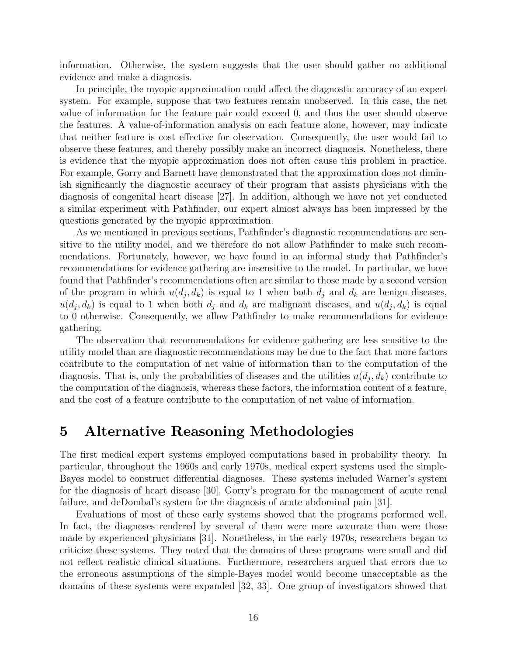information. Otherwise, the system suggests that the user should gather no additional evidence and make a diagnosis.

In principle, the myopic approximation could affect the diagnostic accuracy of an expert system. For example, suppose that two features remain unobserved. In this case, the net value of information for the feature pair could exceed 0, and thus the user should observe the features. A value-of-information analysis on each feature alone, however, may indicate that neither feature is cost effective for observation. Consequently, the user would fail to observe these features, and thereby possibly make an incorrect diagnosis. Nonetheless, there is evidence that the myopic approximation does not often cause this problem in practice. For example, Gorry and Barnett have demonstrated that the approximation does not diminish significantly the diagnostic accuracy of their program that assists physicians with the diagnosis of congenital heart disease [27]. In addition, although we have not yet conducted a similar experiment with Pathfinder, our expert almost always has been impressed by the questions generated by the myopic approximation.

As we mentioned in previous sections, Pathfinder's diagnostic recommendations are sensitive to the utility model, and we therefore do not allow Pathfinder to make such recommendations. Fortunately, however, we have found in an informal study that Pathfinder's recommendations for evidence gathering are insensitive to the model. In particular, we have found that Pathfinder's recommendations often are similar to those made by a second version of the program in which  $u(d_i, d_k)$  is equal to 1 when both  $d_i$  and  $d_k$  are benign diseases,  $u(d_i, d_k)$  is equal to 1 when both  $d_i$  and  $d_k$  are malignant diseases, and  $u(d_i, d_k)$  is equal to 0 otherwise. Consequently, we allow Pathfinder to make recommendations for evidence gathering.

The observation that recommendations for evidence gathering are less sensitive to the utility model than are diagnostic recommendations may be due to the fact that more factors contribute to the computation of net value of information than to the computation of the diagnosis. That is, only the probabilities of diseases and the utilities  $u(d_i, d_k)$  contribute to the computation of the diagnosis, whereas these factors, the information content of a feature, and the cost of a feature contribute to the computation of net value of information.

### 5 Alternative Reasoning Methodologies

The first medical expert systems employed computations based in probability theory. In particular, throughout the 1960s and early 1970s, medical expert systems used the simple-Bayes model to construct differential diagnoses. These systems included Warner's system for the diagnosis of heart disease [30], Gorry's program for the management of acute renal failure, and deDombal's system for the diagnosis of acute abdominal pain [31].

Evaluations of most of these early systems showed that the programs performed well. In fact, the diagnoses rendered by several of them were more accurate than were those made by experienced physicians [31]. Nonetheless, in the early 1970s, researchers began to criticize these systems. They noted that the domains of these programs were small and did not reflect realistic clinical situations. Furthermore, researchers argued that errors due to the erroneous assumptions of the simple-Bayes model would become unacceptable as the domains of these systems were expanded [32, 33]. One group of investigators showed that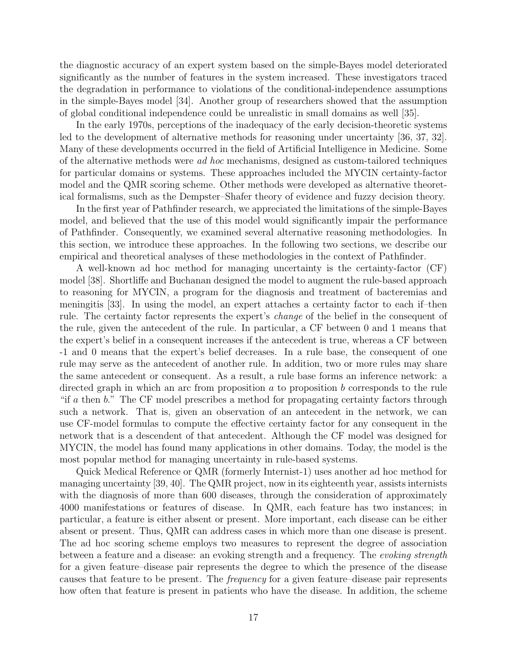the diagnostic accuracy of an expert system based on the simple-Bayes model deteriorated significantly as the number of features in the system increased. These investigators traced the degradation in performance to violations of the conditional-independence assumptions in the simple-Bayes model [34]. Another group of researchers showed that the assumption of global conditional independence could be unrealistic in small domains as well [35].

In the early 1970s, perceptions of the inadequacy of the early decision-theoretic systems led to the development of alternative methods for reasoning under uncertainty [36, 37, 32]. Many of these developments occurred in the field of Artificial Intelligence in Medicine. Some of the alternative methods were ad hoc mechanisms, designed as custom-tailored techniques for particular domains or systems. These approaches included the MYCIN certainty-factor model and the QMR scoring scheme. Other methods were developed as alternative theoretical formalisms, such as the Dempster–Shafer theory of evidence and fuzzy decision theory.

In the first year of Pathfinder research, we appreciated the limitations of the simple-Bayes model, and believed that the use of this model would significantly impair the performance of Pathfinder. Consequently, we examined several alternative reasoning methodologies. In this section, we introduce these approaches. In the following two sections, we describe our empirical and theoretical analyses of these methodologies in the context of Pathfinder.

A well-known ad hoc method for managing uncertainty is the certainty-factor (CF) model [38]. Shortliffe and Buchanan designed the model to augment the rule-based approach to reasoning for MYCIN, a program for the diagnosis and treatment of bacteremias and meningitis [33]. In using the model, an expert attaches a certainty factor to each if–then rule. The certainty factor represents the expert's change of the belief in the consequent of the rule, given the antecedent of the rule. In particular, a CF between 0 and 1 means that the expert's belief in a consequent increases if the antecedent is true, whereas a CF between -1 and 0 means that the expert's belief decreases. In a rule base, the consequent of one rule may serve as the antecedent of another rule. In addition, two or more rules may share the same antecedent or consequent. As a result, a rule base forms an inference network: a directed graph in which an arc from proposition a to proposition b corresponds to the rule "if a then b." The CF model prescribes a method for propagating certainty factors through such a network. That is, given an observation of an antecedent in the network, we can use CF-model formulas to compute the effective certainty factor for any consequent in the network that is a descendent of that antecedent. Although the CF model was designed for MYCIN, the model has found many applications in other domains. Today, the model is the most popular method for managing uncertainty in rule-based systems.

Quick Medical Reference or QMR (formerly Internist-1) uses another ad hoc method for managing uncertainty [39, 40]. The QMR project, now in its eighteenth year, assists internists with the diagnosis of more than 600 diseases, through the consideration of approximately 4000 manifestations or features of disease. In QMR, each feature has two instances; in particular, a feature is either absent or present. More important, each disease can be either absent or present. Thus, QMR can address cases in which more than one disease is present. The ad hoc scoring scheme employs two measures to represent the degree of association between a feature and a disease: an evoking strength and a frequency. The evoking strength for a given feature–disease pair represents the degree to which the presence of the disease causes that feature to be present. The frequency for a given feature–disease pair represents how often that feature is present in patients who have the disease. In addition, the scheme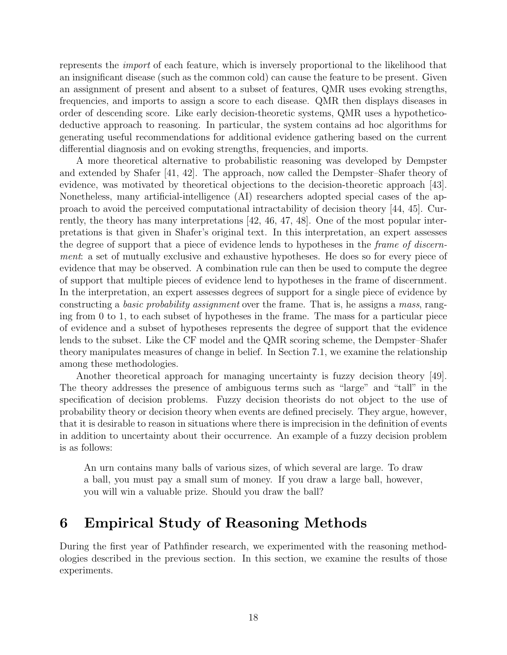represents the import of each feature, which is inversely proportional to the likelihood that an insignificant disease (such as the common cold) can cause the feature to be present. Given an assignment of present and absent to a subset of features, QMR uses evoking strengths, frequencies, and imports to assign a score to each disease. QMR then displays diseases in order of descending score. Like early decision-theoretic systems, QMR uses a hypotheticodeductive approach to reasoning. In particular, the system contains ad hoc algorithms for generating useful recommendations for additional evidence gathering based on the current differential diagnosis and on evoking strengths, frequencies, and imports.

A more theoretical alternative to probabilistic reasoning was developed by Dempster and extended by Shafer [41, 42]. The approach, now called the Dempster–Shafer theory of evidence, was motivated by theoretical objections to the decision-theoretic approach [43]. Nonetheless, many artificial-intelligence (AI) researchers adopted special cases of the approach to avoid the perceived computational intractability of decision theory [44, 45]. Currently, the theory has many interpretations [42, 46, 47, 48]. One of the most popular interpretations is that given in Shafer's original text. In this interpretation, an expert assesses the degree of support that a piece of evidence lends to hypotheses in the frame of discernment: a set of mutually exclusive and exhaustive hypotheses. He does so for every piece of evidence that may be observed. A combination rule can then be used to compute the degree of support that multiple pieces of evidence lend to hypotheses in the frame of discernment. In the interpretation, an expert assesses degrees of support for a single piece of evidence by constructing a *basic probability assignment* over the frame. That is, he assigns a *mass*, ranging from 0 to 1, to each subset of hypotheses in the frame. The mass for a particular piece of evidence and a subset of hypotheses represents the degree of support that the evidence lends to the subset. Like the CF model and the QMR scoring scheme, the Dempster–Shafer theory manipulates measures of change in belief. In Section 7.1, we examine the relationship among these methodologies.

Another theoretical approach for managing uncertainty is fuzzy decision theory [49]. The theory addresses the presence of ambiguous terms such as "large" and "tall" in the specification of decision problems. Fuzzy decision theorists do not object to the use of probability theory or decision theory when events are defined precisely. They argue, however, that it is desirable to reason in situations where there is imprecision in the definition of events in addition to uncertainty about their occurrence. An example of a fuzzy decision problem is as follows:

An urn contains many balls of various sizes, of which several are large. To draw a ball, you must pay a small sum of money. If you draw a large ball, however, you will win a valuable prize. Should you draw the ball?

### 6 Empirical Study of Reasoning Methods

During the first year of Pathfinder research, we experimented with the reasoning methodologies described in the previous section. In this section, we examine the results of those experiments.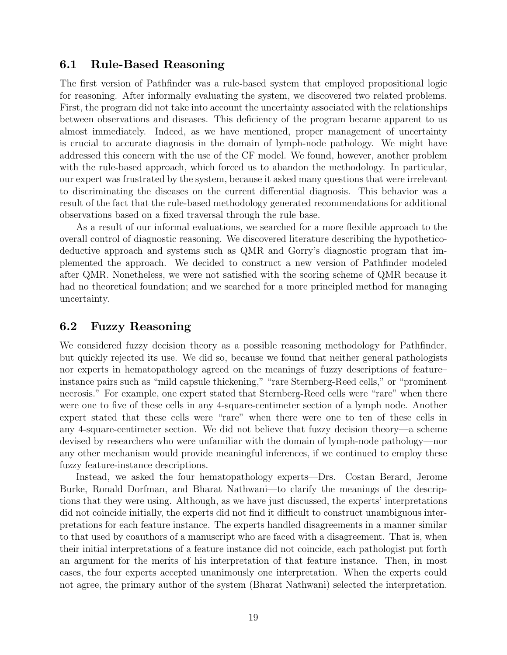#### 6.1 Rule-Based Reasoning

The first version of Pathfinder was a rule-based system that employed propositional logic for reasoning. After informally evaluating the system, we discovered two related problems. First, the program did not take into account the uncertainty associated with the relationships between observations and diseases. This deficiency of the program became apparent to us almost immediately. Indeed, as we have mentioned, proper management of uncertainty is crucial to accurate diagnosis in the domain of lymph-node pathology. We might have addressed this concern with the use of the CF model. We found, however, another problem with the rule-based approach, which forced us to abandon the methodology. In particular, our expert was frustrated by the system, because it asked many questions that were irrelevant to discriminating the diseases on the current differential diagnosis. This behavior was a result of the fact that the rule-based methodology generated recommendations for additional observations based on a fixed traversal through the rule base.

As a result of our informal evaluations, we searched for a more flexible approach to the overall control of diagnostic reasoning. We discovered literature describing the hypotheticodeductive approach and systems such as QMR and Gorry's diagnostic program that implemented the approach. We decided to construct a new version of Pathfinder modeled after QMR. Nonetheless, we were not satisfied with the scoring scheme of QMR because it had no theoretical foundation; and we searched for a more principled method for managing uncertainty.

#### 6.2 Fuzzy Reasoning

We considered fuzzy decision theory as a possible reasoning methodology for Pathfinder, but quickly rejected its use. We did so, because we found that neither general pathologists nor experts in hematopathology agreed on the meanings of fuzzy descriptions of feature– instance pairs such as "mild capsule thickening," "rare Sternberg-Reed cells," or "prominent necrosis." For example, one expert stated that Sternberg-Reed cells were "rare" when there were one to five of these cells in any 4-square-centimeter section of a lymph node. Another expert stated that these cells were "rare" when there were one to ten of these cells in any 4-square-centimeter section. We did not believe that fuzzy decision theory—a scheme devised by researchers who were unfamiliar with the domain of lymph-node pathology—nor any other mechanism would provide meaningful inferences, if we continued to employ these fuzzy feature-instance descriptions.

Instead, we asked the four hematopathology experts—Drs. Costan Berard, Jerome Burke, Ronald Dorfman, and Bharat Nathwani—to clarify the meanings of the descriptions that they were using. Although, as we have just discussed, the experts' interpretations did not coincide initially, the experts did not find it difficult to construct unambiguous interpretations for each feature instance. The experts handled disagreements in a manner similar to that used by coauthors of a manuscript who are faced with a disagreement. That is, when their initial interpretations of a feature instance did not coincide, each pathologist put forth an argument for the merits of his interpretation of that feature instance. Then, in most cases, the four experts accepted unanimously one interpretation. When the experts could not agree, the primary author of the system (Bharat Nathwani) selected the interpretation.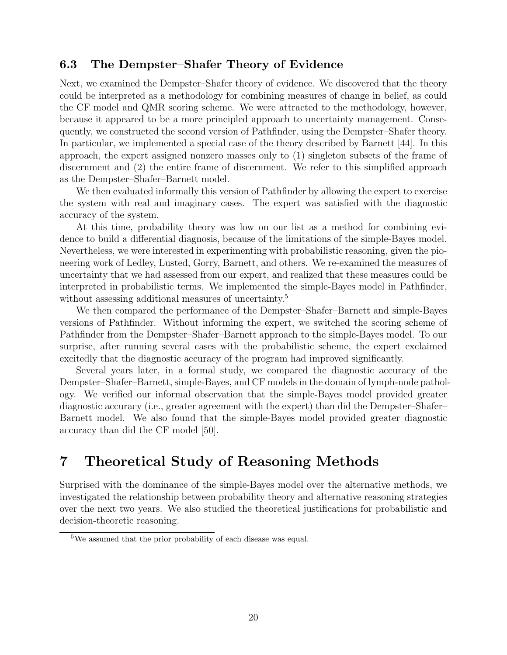#### 6.3 The Dempster–Shafer Theory of Evidence

Next, we examined the Dempster–Shafer theory of evidence. We discovered that the theory could be interpreted as a methodology for combining measures of change in belief, as could the CF model and QMR scoring scheme. We were attracted to the methodology, however, because it appeared to be a more principled approach to uncertainty management. Consequently, we constructed the second version of Pathfinder, using the Dempster–Shafer theory. In particular, we implemented a special case of the theory described by Barnett [44]. In this approach, the expert assigned nonzero masses only to (1) singleton subsets of the frame of discernment and (2) the entire frame of discernment. We refer to this simplified approach as the Dempster–Shafer–Barnett model.

We then evaluated informally this version of Pathfinder by allowing the expert to exercise the system with real and imaginary cases. The expert was satisfied with the diagnostic accuracy of the system.

At this time, probability theory was low on our list as a method for combining evidence to build a differential diagnosis, because of the limitations of the simple-Bayes model. Nevertheless, we were interested in experimenting with probabilistic reasoning, given the pioneering work of Ledley, Lusted, Gorry, Barnett, and others. We re-examined the measures of uncertainty that we had assessed from our expert, and realized that these measures could be interpreted in probabilistic terms. We implemented the simple-Bayes model in Pathfinder, without assessing additional measures of uncertainty.<sup>5</sup>

We then compared the performance of the Dempster–Shafer–Barnett and simple-Bayes versions of Pathfinder. Without informing the expert, we switched the scoring scheme of Pathfinder from the Dempster–Shafer–Barnett approach to the simple-Bayes model. To our surprise, after running several cases with the probabilistic scheme, the expert exclaimed excitedly that the diagnostic accuracy of the program had improved significantly.

Several years later, in a formal study, we compared the diagnostic accuracy of the Dempster–Shafer–Barnett, simple-Bayes, and CF models in the domain of lymph-node pathology. We verified our informal observation that the simple-Bayes model provided greater diagnostic accuracy (i.e., greater agreement with the expert) than did the Dempster–Shafer– Barnett model. We also found that the simple-Bayes model provided greater diagnostic accuracy than did the CF model [50].

## 7 Theoretical Study of Reasoning Methods

Surprised with the dominance of the simple-Bayes model over the alternative methods, we investigated the relationship between probability theory and alternative reasoning strategies over the next two years. We also studied the theoretical justifications for probabilistic and decision-theoretic reasoning.

<sup>5</sup>We assumed that the prior probability of each disease was equal.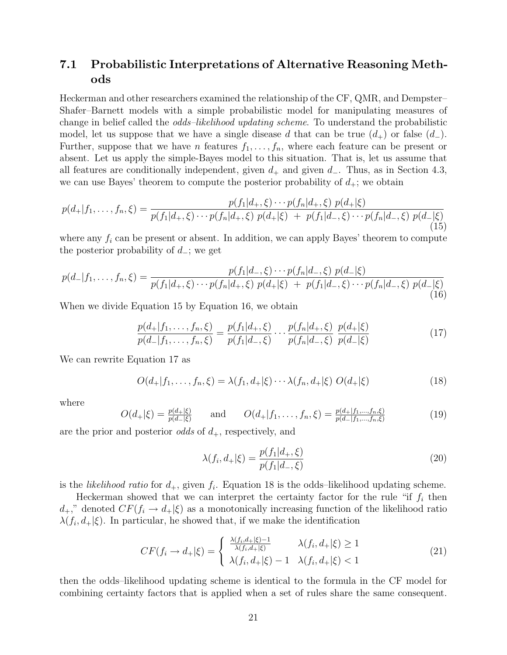### 7.1 Probabilistic Interpretations of Alternative Reasoning Methods

Heckerman and other researchers examined the relationship of the CF, QMR, and Dempster– Shafer–Barnett models with a simple probabilistic model for manipulating measures of change in belief called the odds–likelihood updating scheme. To understand the probabilistic model, let us suppose that we have a single disease d that can be true  $(d_+)$  or false  $(d_-)$ . Further, suppose that we have n features  $f_1, \ldots, f_n$ , where each feature can be present or absent. Let us apply the simple-Bayes model to this situation. That is, let us assume that all features are conditionally independent, given  $d_+$  and given  $d_-$ . Thus, as in Section 4.3, we can use Bayes' theorem to compute the posterior probability of  $d_+$ ; we obtain

$$
p(d_+|f_1,\ldots,f_n,\xi) = \frac{p(f_1|d_+,\xi)\cdots p(f_n|d_+,\xi)}{p(f_1|d_+,\xi)\cdots p(f_n|d_+,\xi)}\frac{p(d_+|d_+,\xi)\cdots p(f_n|d_+,\xi)}{p(d_+|d_-,\xi)\cdots p(f_n|d_-,\xi)}\frac{p(d_-|d_+,\xi)\cdots p(f_n|d_+,\xi)}{(15)}
$$

where any  $f_i$  can be present or absent. In addition, we can apply Bayes' theorem to compute the posterior probability of  $d_$ ; we get

$$
p(d_-|f_1,\ldots,f_n,\xi) = \frac{p(f_1|d_-,\xi)\cdots p(f_n|d_-,\xi)}{p(f_1|d_+,\xi)\cdots p(f_n|d_+,\xi)}\frac{p(d_-|f_1|d_-,\xi)\cdots p(f_n|d_-,\xi)}{p(d_+|f_1|d_-,\xi)\cdots p(f_n|d_-,\xi)}\frac{p(d_-|f_1|d_-,\xi)\cdots p(f_n|d_-,\xi)}{(16)}
$$

When we divide Equation 15 by Equation 16, we obtain

$$
\frac{p(d_+|f_1,\ldots,f_n,\xi)}{p(d_-|f_1,\ldots,f_n,\xi)} = \frac{p(f_1|d_+,\xi)}{p(f_1|d_-,\xi)}\cdots\frac{p(f_n|d_+,\xi)}{p(f_n|d_-,\xi)}\frac{p(d_+|\xi)}{p(d_-|\xi)}
$$
(17)

We can rewrite Equation 17 as

$$
O(d_+|f_1,\dots,f_n,\xi) = \lambda(f_1,d_+|\xi)\cdots\lambda(f_n,d_+|\xi) O(d_+|\xi)
$$
\n(18)

where

$$
O(d_+|\xi) = \frac{p(d_+|\xi)}{p(d_-|\xi)} \quad \text{and} \quad O(d_+|f_1,\ldots,f_n,\xi) = \frac{p(d_+|f_1,\ldots,f_n,\xi)}{p(d_-|f_1,\ldots,f_n,\xi)} \tag{19}
$$

are the prior and posterior *odds* of  $d_{+}$ , respectively, and

$$
\lambda(f_i, d_+|\xi) = \frac{p(f_1|d_+, \xi)}{p(f_1|d_-, \xi)}
$$
\n(20)

is the *likelihood ratio* for  $d_+$ , given  $f_i$ . Equation 18 is the odds-likelihood updating scheme.

Heckerman showed that we can interpret the certainty factor for the rule "if  $f_i$  then  $d_+$ ," denoted  $CF(f_i \rightarrow d_+|\xi)$  as a monotonically increasing function of the likelihood ratio  $\lambda(f_i, d_+|\xi)$ . In particular, he showed that, if we make the identification

$$
CF(f_i \to d_+|\xi) = \begin{cases} \frac{\lambda(f_i, d_+|\xi) - 1}{\lambda(f_i, d_+|\xi)} & \lambda(f_i, d_+|\xi) \ge 1\\ \lambda(f_i, d_+|\xi) - 1 & \lambda(f_i, d_+|\xi) < 1 \end{cases}
$$
(21)

then the odds–likelihood updating scheme is identical to the formula in the CF model for combining certainty factors that is applied when a set of rules share the same consequent.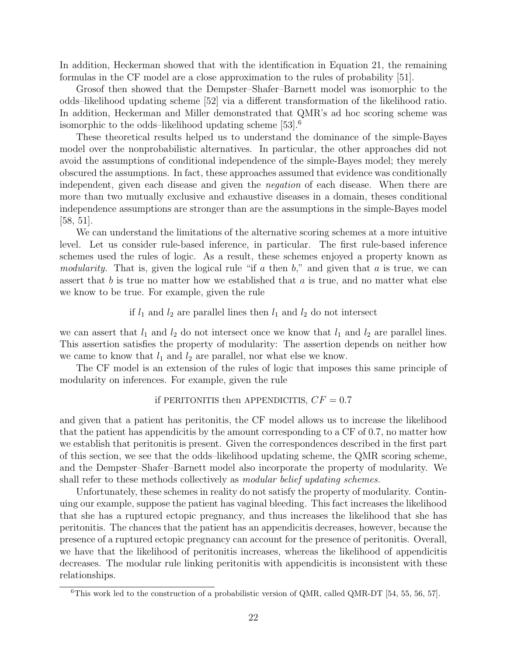In addition, Heckerman showed that with the identification in Equation 21, the remaining formulas in the CF model are a close approximation to the rules of probability [51].

Grosof then showed that the Dempster–Shafer–Barnett model was isomorphic to the odds–likelihood updating scheme [52] via a different transformation of the likelihood ratio. In addition, Heckerman and Miller demonstrated that QMR's ad hoc scoring scheme was isomorphic to the odds–likelihood updating scheme [53].<sup>6</sup>

These theoretical results helped us to understand the dominance of the simple-Bayes model over the nonprobabilistic alternatives. In particular, the other approaches did not avoid the assumptions of conditional independence of the simple-Bayes model; they merely obscured the assumptions. In fact, these approaches assumed that evidence was conditionally independent, given each disease and given the *negation* of each disease. When there are more than two mutually exclusive and exhaustive diseases in a domain, theses conditional independence assumptions are stronger than are the assumptions in the simple-Bayes model  $[58, 51]$ .

We can understand the limitations of the alternative scoring schemes at a more intuitive level. Let us consider rule-based inference, in particular. The first rule-based inference schemes used the rules of logic. As a result, these schemes enjoyed a property known as modularity. That is, given the logical rule "if a then  $b$ ," and given that a is true, we can assert that  $b$  is true no matter how we established that  $a$  is true, and no matter what else we know to be true. For example, given the rule

#### if  $l_1$  and  $l_2$  are parallel lines then  $l_1$  and  $l_2$  do not intersect

we can assert that  $l_1$  and  $l_2$  do not intersect once we know that  $l_1$  and  $l_2$  are parallel lines. This assertion satisfies the property of modularity: The assertion depends on neither how we came to know that  $l_1$  and  $l_2$  are parallel, nor what else we know.

The CF model is an extension of the rules of logic that imposes this same principle of modularity on inferences. For example, given the rule

#### if PERITONITIS then APPENDICITIS,  $CF = 0.7$

and given that a patient has peritonitis, the CF model allows us to increase the likelihood that the patient has appendicitis by the amount corresponding to a CF of 0.7, no matter how we establish that peritonitis is present. Given the correspondences described in the first part of this section, we see that the odds–likelihood updating scheme, the QMR scoring scheme, and the Dempster–Shafer–Barnett model also incorporate the property of modularity. We shall refer to these methods collectively as *modular belief updating schemes*.

Unfortunately, these schemes in reality do not satisfy the property of modularity. Continuing our example, suppose the patient has vaginal bleeding. This fact increases the likelihood that she has a ruptured ectopic pregnancy, and thus increases the likelihood that she has peritonitis. The chances that the patient has an appendicitis decreases, however, because the presence of a ruptured ectopic pregnancy can account for the presence of peritonitis. Overall, we have that the likelihood of peritonitis increases, whereas the likelihood of appendicitis decreases. The modular rule linking peritonitis with appendicitis is inconsistent with these relationships.

<sup>&</sup>lt;sup>6</sup>This work led to the construction of a probabilistic version of QMR, called QMR-DT [54, 55, 56, 57].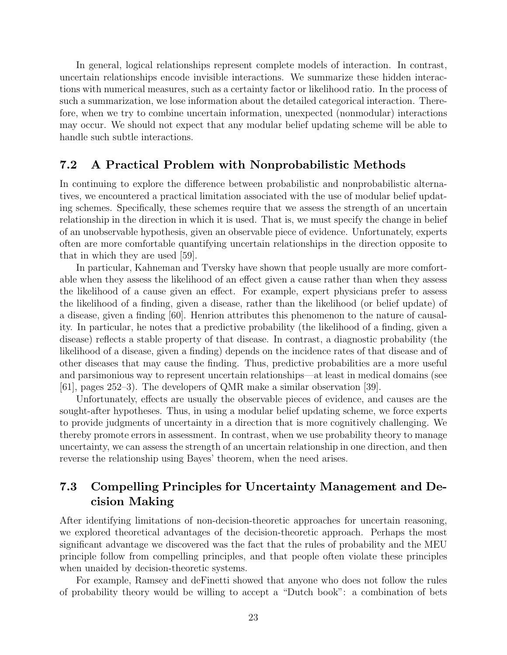In general, logical relationships represent complete models of interaction. In contrast, uncertain relationships encode invisible interactions. We summarize these hidden interactions with numerical measures, such as a certainty factor or likelihood ratio. In the process of such a summarization, we lose information about the detailed categorical interaction. Therefore, when we try to combine uncertain information, unexpected (nonmodular) interactions may occur. We should not expect that any modular belief updating scheme will be able to handle such subtle interactions.

#### 7.2 A Practical Problem with Nonprobabilistic Methods

In continuing to explore the difference between probabilistic and nonprobabilistic alternatives, we encountered a practical limitation associated with the use of modular belief updating schemes. Specifically, these schemes require that we assess the strength of an uncertain relationship in the direction in which it is used. That is, we must specify the change in belief of an unobservable hypothesis, given an observable piece of evidence. Unfortunately, experts often are more comfortable quantifying uncertain relationships in the direction opposite to that in which they are used [59].

In particular, Kahneman and Tversky have shown that people usually are more comfortable when they assess the likelihood of an effect given a cause rather than when they assess the likelihood of a cause given an effect. For example, expert physicians prefer to assess the likelihood of a finding, given a disease, rather than the likelihood (or belief update) of a disease, given a finding [60]. Henrion attributes this phenomenon to the nature of causality. In particular, he notes that a predictive probability (the likelihood of a finding, given a disease) reflects a stable property of that disease. In contrast, a diagnostic probability (the likelihood of a disease, given a finding) depends on the incidence rates of that disease and of other diseases that may cause the finding. Thus, predictive probabilities are a more useful and parsimonious way to represent uncertain relationships—at least in medical domains (see [61], pages 252–3). The developers of QMR make a similar observation [39].

Unfortunately, effects are usually the observable pieces of evidence, and causes are the sought-after hypotheses. Thus, in using a modular belief updating scheme, we force experts to provide judgments of uncertainty in a direction that is more cognitively challenging. We thereby promote errors in assessment. In contrast, when we use probability theory to manage uncertainty, we can assess the strength of an uncertain relationship in one direction, and then reverse the relationship using Bayes' theorem, when the need arises.

### 7.3 Compelling Principles for Uncertainty Management and Decision Making

After identifying limitations of non-decision-theoretic approaches for uncertain reasoning, we explored theoretical advantages of the decision-theoretic approach. Perhaps the most significant advantage we discovered was the fact that the rules of probability and the MEU principle follow from compelling principles, and that people often violate these principles when unaided by decision-theoretic systems.

For example, Ramsey and deFinetti showed that anyone who does not follow the rules of probability theory would be willing to accept a "Dutch book": a combination of bets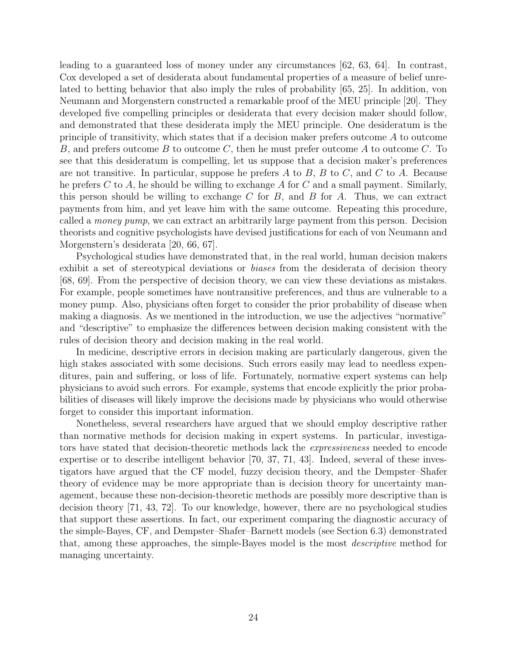leading to a guaranteed loss of money under any circumstances [62, 63, 64]. In contrast, Cox developed a set of desiderata about fundamental properties of a measure of belief unrelated to betting behavior that also imply the rules of probability [65, 25]. In addition, von Neumann and Morgenstern constructed a remarkable proof of the MEU principle [20]. They developed five compelling principles or desiderata that every decision maker should follow, and demonstrated that these desiderata imply the MEU principle. One desideratum is the principle of transitivity, which states that if a decision maker prefers outcome  $A$  to outcome B, and prefers outcome B to outcome C, then he must prefer outcome A to outcome C. To see that this desideratum is compelling, let us suppose that a decision maker's preferences are not transitive. In particular, suppose he prefers  $A$  to  $B$ ,  $B$  to  $C$ , and  $C$  to  $A$ . Because he prefers C to A, he should be willing to exchange A for C and a small payment. Similarly, this person should be willing to exchange  $C$  for  $B$ , and  $B$  for  $A$ . Thus, we can extract payments from him, and yet leave him with the same outcome. Repeating this procedure, called a money pump, we can extract an arbitrarily large payment from this person. Decision theorists and cognitive psychologists have devised justifications for each of von Neumann and Morgenstern's desiderata [20, 66, 67].

Psychological studies have demonstrated that, in the real world, human decision makers exhibit a set of stereotypical deviations or biases from the desiderata of decision theory [68, 69]. From the perspective of decision theory, we can view these deviations as mistakes. For example, people sometimes have nontransitive preferences, and thus are vulnerable to a money pump. Also, physicians often forget to consider the prior probability of disease when making a diagnosis. As we mentioned in the introduction, we use the adjectives "normative" and "descriptive" to emphasize the differences between decision making consistent with the rules of decision theory and decision making in the real world.

In medicine, descriptive errors in decision making are particularly dangerous, given the high stakes associated with some decisions. Such errors easily may lead to needless expenditures, pain and suffering, or loss of life. Fortunately, normative expert systems can help physicians to avoid such errors. For example, systems that encode explicitly the prior probabilities of diseases will likely improve the decisions made by physicians who would otherwise forget to consider this important information.

Nonetheless, several researchers have argued that we should employ descriptive rather than normative methods for decision making in expert systems. In particular, investigators have stated that decision-theoretic methods lack the expressiveness needed to encode expertise or to describe intelligent behavior [70, 37, 71, 43]. Indeed, several of these investigators have argued that the CF model, fuzzy decision theory, and the Dempster–Shafer theory of evidence may be more appropriate than is decision theory for uncertainty management, because these non-decision-theoretic methods are possibly more descriptive than is decision theory [71, 43, 72]. To our knowledge, however, there are no psychological studies that support these assertions. In fact, our experiment comparing the diagnostic accuracy of the simple-Bayes, CF, and Dempster–Shafer–Barnett models (see Section 6.3) demonstrated that, among these approaches, the simple-Bayes model is the most descriptive method for managing uncertainty.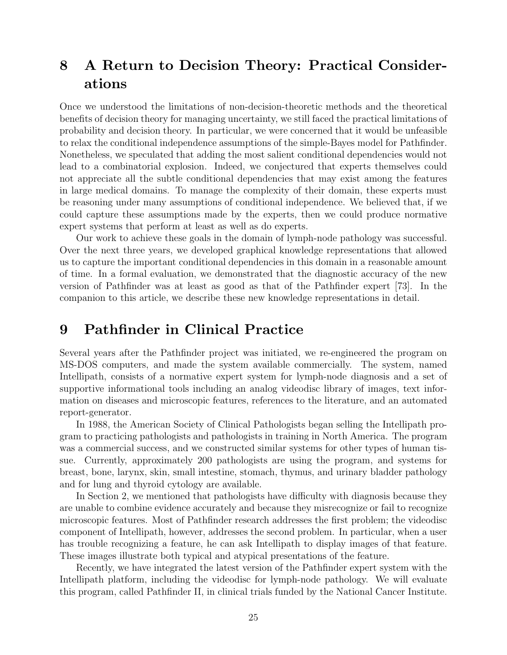## 8 A Return to Decision Theory: Practical Considerations

Once we understood the limitations of non-decision-theoretic methods and the theoretical benefits of decision theory for managing uncertainty, we still faced the practical limitations of probability and decision theory. In particular, we were concerned that it would be unfeasible to relax the conditional independence assumptions of the simple-Bayes model for Pathfinder. Nonetheless, we speculated that adding the most salient conditional dependencies would not lead to a combinatorial explosion. Indeed, we conjectured that experts themselves could not appreciate all the subtle conditional dependencies that may exist among the features in large medical domains. To manage the complexity of their domain, these experts must be reasoning under many assumptions of conditional independence. We believed that, if we could capture these assumptions made by the experts, then we could produce normative expert systems that perform at least as well as do experts.

Our work to achieve these goals in the domain of lymph-node pathology was successful. Over the next three years, we developed graphical knowledge representations that allowed us to capture the important conditional dependencies in this domain in a reasonable amount of time. In a formal evaluation, we demonstrated that the diagnostic accuracy of the new version of Pathfinder was at least as good as that of the Pathfinder expert [73]. In the companion to this article, we describe these new knowledge representations in detail.

### 9 Pathfinder in Clinical Practice

Several years after the Pathfinder project was initiated, we re-engineered the program on MS-DOS computers, and made the system available commercially. The system, named Intellipath, consists of a normative expert system for lymph-node diagnosis and a set of supportive informational tools including an analog videodisc library of images, text information on diseases and microscopic features, references to the literature, and an automated report-generator.

In 1988, the American Society of Clinical Pathologists began selling the Intellipath program to practicing pathologists and pathologists in training in North America. The program was a commercial success, and we constructed similar systems for other types of human tissue. Currently, approximately 200 pathologists are using the program, and systems for breast, bone, larynx, skin, small intestine, stomach, thymus, and urinary bladder pathology and for lung and thyroid cytology are available.

In Section 2, we mentioned that pathologists have difficulty with diagnosis because they are unable to combine evidence accurately and because they misrecognize or fail to recognize microscopic features. Most of Pathfinder research addresses the first problem; the videodisc component of Intellipath, however, addresses the second problem. In particular, when a user has trouble recognizing a feature, he can ask Intellipath to display images of that feature. These images illustrate both typical and atypical presentations of the feature.

Recently, we have integrated the latest version of the Pathfinder expert system with the Intellipath platform, including the videodisc for lymph-node pathology. We will evaluate this program, called Pathfinder II, in clinical trials funded by the National Cancer Institute.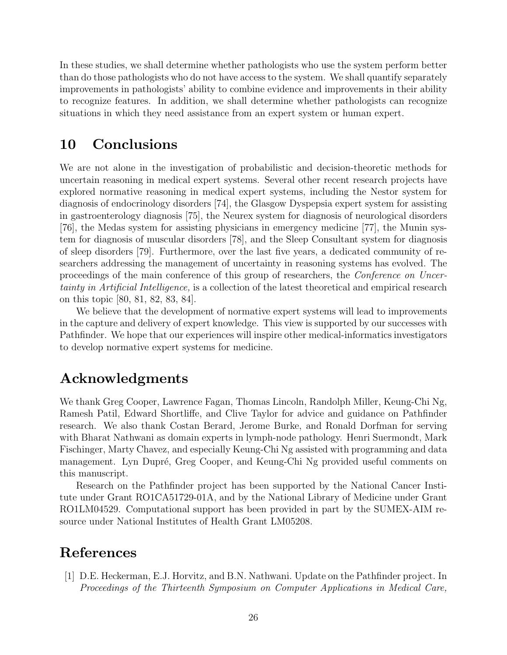In these studies, we shall determine whether pathologists who use the system perform better than do those pathologists who do not have access to the system. We shall quantify separately improvements in pathologists' ability to combine evidence and improvements in their ability to recognize features. In addition, we shall determine whether pathologists can recognize situations in which they need assistance from an expert system or human expert.

### 10 Conclusions

We are not alone in the investigation of probabilistic and decision-theoretic methods for uncertain reasoning in medical expert systems. Several other recent research projects have explored normative reasoning in medical expert systems, including the Nestor system for diagnosis of endocrinology disorders [74], the Glasgow Dyspepsia expert system for assisting in gastroenterology diagnosis [75], the Neurex system for diagnosis of neurological disorders [76], the Medas system for assisting physicians in emergency medicine [77], the Munin system for diagnosis of muscular disorders [78], and the Sleep Consultant system for diagnosis of sleep disorders [79]. Furthermore, over the last five years, a dedicated community of researchers addressing the management of uncertainty in reasoning systems has evolved. The proceedings of the main conference of this group of researchers, the Conference on Uncertainty in Artificial Intelligence, is a collection of the latest theoretical and empirical research on this topic [80, 81, 82, 83, 84].

We believe that the development of normative expert systems will lead to improvements in the capture and delivery of expert knowledge. This view is supported by our successes with Pathfinder. We hope that our experiences will inspire other medical-informatics investigators to develop normative expert systems for medicine.

### Acknowledgments

We thank Greg Cooper, Lawrence Fagan, Thomas Lincoln, Randolph Miller, Keung-Chi Ng, Ramesh Patil, Edward Shortliffe, and Clive Taylor for advice and guidance on Pathfinder research. We also thank Costan Berard, Jerome Burke, and Ronald Dorfman for serving with Bharat Nathwani as domain experts in lymph-node pathology. Henri Suermondt, Mark Fischinger, Marty Chavez, and especially Keung-Chi Ng assisted with programming and data management. Lyn Dupré, Greg Cooper, and Keung-Chi Ng provided useful comments on this manuscript.

Research on the Pathfinder project has been supported by the National Cancer Institute under Grant RO1CA51729-01A, and by the National Library of Medicine under Grant RO1LM04529. Computational support has been provided in part by the SUMEX-AIM resource under National Institutes of Health Grant LM05208.

### References

[1] D.E. Heckerman, E.J. Horvitz, and B.N. Nathwani. Update on the Pathfinder project. In Proceedings of the Thirteenth Symposium on Computer Applications in Medical Care,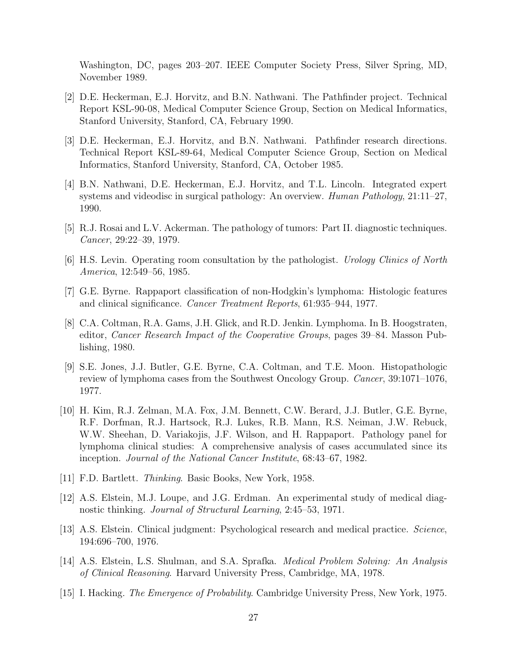Washington, DC, pages 203–207. IEEE Computer Society Press, Silver Spring, MD, November 1989.

- [2] D.E. Heckerman, E.J. Horvitz, and B.N. Nathwani. The Pathfinder project. Technical Report KSL-90-08, Medical Computer Science Group, Section on Medical Informatics, Stanford University, Stanford, CA, February 1990.
- [3] D.E. Heckerman, E.J. Horvitz, and B.N. Nathwani. Pathfinder research directions. Technical Report KSL-89-64, Medical Computer Science Group, Section on Medical Informatics, Stanford University, Stanford, CA, October 1985.
- [4] B.N. Nathwani, D.E. Heckerman, E.J. Horvitz, and T.L. Lincoln. Integrated expert systems and videodisc in surgical pathology: An overview. Human Pathology,  $21:11-27$ , 1990.
- [5] R.J. Rosai and L.V. Ackerman. The pathology of tumors: Part II. diagnostic techniques. Cancer, 29:22–39, 1979.
- [6] H.S. Levin. Operating room consultation by the pathologist. Urology Clinics of North America, 12:549–56, 1985.
- [7] G.E. Byrne. Rappaport classification of non-Hodgkin's lymphoma: Histologic features and clinical significance. Cancer Treatment Reports, 61:935–944, 1977.
- [8] C.A. Coltman, R.A. Gams, J.H. Glick, and R.D. Jenkin. Lymphoma. In B. Hoogstraten, editor, Cancer Research Impact of the Cooperative Groups, pages 39–84. Masson Publishing, 1980.
- [9] S.E. Jones, J.J. Butler, G.E. Byrne, C.A. Coltman, and T.E. Moon. Histopathologic review of lymphoma cases from the Southwest Oncology Group. Cancer, 39:1071–1076, 1977.
- [10] H. Kim, R.J. Zelman, M.A. Fox, J.M. Bennett, C.W. Berard, J.J. Butler, G.E. Byrne, R.F. Dorfman, R.J. Hartsock, R.J. Lukes, R.B. Mann, R.S. Neiman, J.W. Rebuck, W.W. Sheehan, D. Variakojis, J.F. Wilson, and H. Rappaport. Pathology panel for lymphoma clinical studies: A comprehensive analysis of cases accumulated since its inception. Journal of the National Cancer Institute, 68:43–67, 1982.
- [11] F.D. Bartlett. Thinking. Basic Books, New York, 1958.
- [12] A.S. Elstein, M.J. Loupe, and J.G. Erdman. An experimental study of medical diagnostic thinking. Journal of Structural Learning, 2:45–53, 1971.
- [13] A.S. Elstein. Clinical judgment: Psychological research and medical practice. Science, 194:696–700, 1976.
- [14] A.S. Elstein, L.S. Shulman, and S.A. Sprafka. Medical Problem Solving: An Analysis of Clinical Reasoning. Harvard University Press, Cambridge, MA, 1978.
- [15] I. Hacking. The Emergence of Probability. Cambridge University Press, New York, 1975.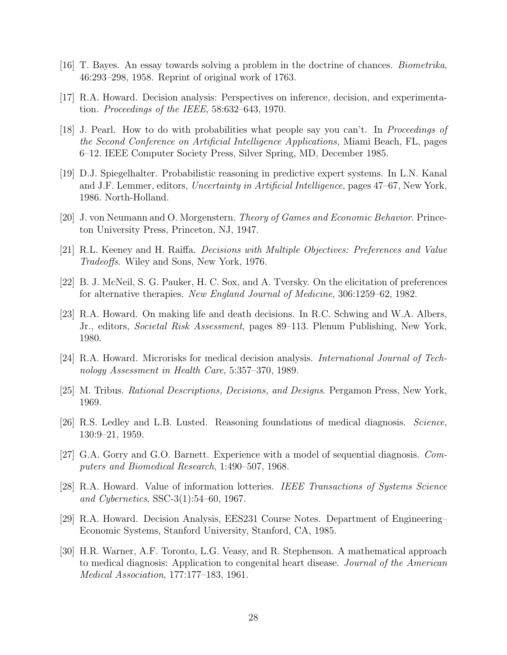- [16] T. Bayes. An essay towards solving a problem in the doctrine of chances. Biometrika, 46:293–298, 1958. Reprint of original work of 1763.
- [17] R.A. Howard. Decision analysis: Perspectives on inference, decision, and experimentation. Proceedings of the IEEE, 58:632–643, 1970.
- [18] J. Pearl. How to do with probabilities what people say you can't. In Proceedings of the Second Conference on Artificial Intelligence Applications, Miami Beach, FL, pages 6–12. IEEE Computer Society Press, Silver Spring, MD, December 1985.
- [19] D.J. Spiegelhalter. Probabilistic reasoning in predictive expert systems. In L.N. Kanal and J.F. Lemmer, editors, Uncertainty in Artificial Intelligence, pages 47–67, New York, 1986. North-Holland.
- [20] J. von Neumann and O. Morgenstern. Theory of Games and Economic Behavior. Princeton University Press, Princeton, NJ, 1947.
- [21] R.L. Keeney and H. Raiffa. Decisions with Multiple Objectives: Preferences and Value Tradeoffs. Wiley and Sons, New York, 1976.
- [22] B. J. McNeil, S. G. Pauker, H. C. Sox, and A. Tversky. On the elicitation of preferences for alternative therapies. New England Journal of Medicine, 306:1259–62, 1982.
- [23] R.A. Howard. On making life and death decisions. In R.C. Schwing and W.A. Albers, Jr., editors, Societal Risk Assessment, pages 89–113. Plenum Publishing, New York, 1980.
- [24] R.A. Howard. Microrisks for medical decision analysis. International Journal of Technology Assessment in Health Care, 5:357–370, 1989.
- [25] M. Tribus. Rational Descriptions, Decisions, and Designs. Pergamon Press, New York, 1969.
- [26] R.S. Ledley and L.B. Lusted. Reasoning foundations of medical diagnosis. Science, 130:9–21, 1959.
- [27] G.A. Gorry and G.O. Barnett. Experience with a model of sequential diagnosis. Computers and Biomedical Research, 1:490–507, 1968.
- [28] R.A. Howard. Value of information lotteries. IEEE Transactions of Systems Science and Cybernetics, SSC-3(1):54–60, 1967.
- [29] R.A. Howard. Decision Analysis, EES231 Course Notes. Department of Engineering– Economic Systems, Stanford University, Stanford, CA, 1985.
- [30] H.R. Warner, A.F. Toronto, L.G. Veasy, and R. Stephenson. A mathematical approach to medical diagnosis: Application to congenital heart disease. Journal of the American Medical Association, 177:177–183, 1961.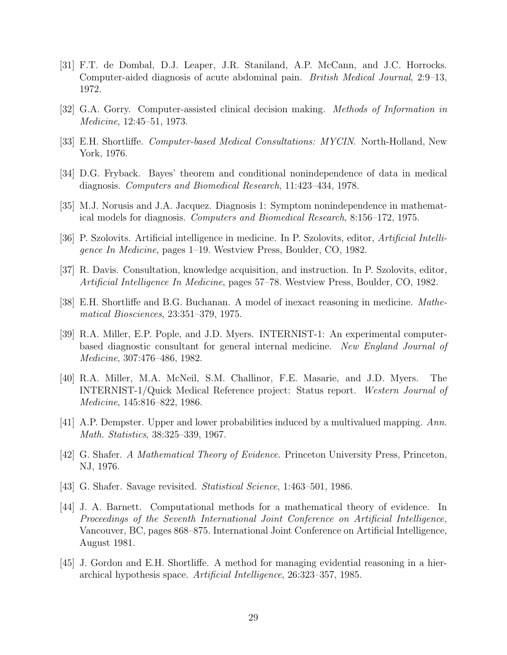- [31] F.T. de Dombal, D.J. Leaper, J.R. Staniland, A.P. McCann, and J.C. Horrocks. Computer-aided diagnosis of acute abdominal pain. British Medical Journal, 2:9–13, 1972.
- [32] G.A. Gorry. Computer-assisted clinical decision making. Methods of Information in Medicine, 12:45–51, 1973.
- [33] E.H. Shortliffe. Computer-based Medical Consultations: MYCIN. North-Holland, New York, 1976.
- [34] D.G. Fryback. Bayes' theorem and conditional nonindependence of data in medical diagnosis. Computers and Biomedical Research, 11:423–434, 1978.
- [35] M.J. Norusis and J.A. Jacquez. Diagnosis 1: Symptom nonindependence in mathematical models for diagnosis. Computers and Biomedical Research, 8:156–172, 1975.
- [36] P. Szolovits. Artificial intelligence in medicine. In P. Szolovits, editor, Artificial Intelligence In Medicine, pages 1–19. Westview Press, Boulder, CO, 1982.
- [37] R. Davis. Consultation, knowledge acquisition, and instruction. In P. Szolovits, editor, Artificial Intelligence In Medicine, pages 57–78. Westview Press, Boulder, CO, 1982.
- [38] E.H. Shortliffe and B.G. Buchanan. A model of inexact reasoning in medicine. Mathematical Biosciences, 23:351–379, 1975.
- [39] R.A. Miller, E.P. Pople, and J.D. Myers. INTERNIST-1: An experimental computerbased diagnostic consultant for general internal medicine. New England Journal of Medicine, 307:476–486, 1982.
- [40] R.A. Miller, M.A. McNeil, S.M. Challinor, F.E. Masarie, and J.D. Myers. The INTERNIST-1/Quick Medical Reference project: Status report. Western Journal of Medicine, 145:816–822, 1986.
- [41] A.P. Dempster. Upper and lower probabilities induced by a multivalued mapping. Ann. Math. Statistics, 38:325–339, 1967.
- [42] G. Shafer. A Mathematical Theory of Evidence. Princeton University Press, Princeton, NJ, 1976.
- [43] G. Shafer. Savage revisited. Statistical Science, 1:463–501, 1986.
- [44] J. A. Barnett. Computational methods for a mathematical theory of evidence. In Proceedings of the Seventh International Joint Conference on Artificial Intelligence, Vancouver, BC, pages 868–875. International Joint Conference on Artificial Intelligence, August 1981.
- [45] J. Gordon and E.H. Shortliffe. A method for managing evidential reasoning in a hierarchical hypothesis space. Artificial Intelligence, 26:323–357, 1985.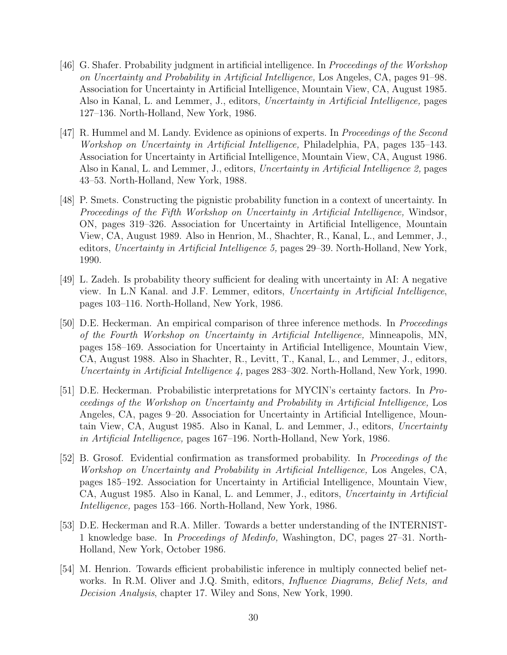- [46] G. Shafer. Probability judgment in artificial intelligence. In Proceedings of the Workshop on Uncertainty and Probability in Artificial Intelligence, Los Angeles, CA, pages 91–98. Association for Uncertainty in Artificial Intelligence, Mountain View, CA, August 1985. Also in Kanal, L. and Lemmer, J., editors, Uncertainty in Artificial Intelligence, pages 127–136. North-Holland, New York, 1986.
- [47] R. Hummel and M. Landy. Evidence as opinions of experts. In Proceedings of the Second Workshop on Uncertainty in Artificial Intelligence, Philadelphia, PA, pages 135–143. Association for Uncertainty in Artificial Intelligence, Mountain View, CA, August 1986. Also in Kanal, L. and Lemmer, J., editors, Uncertainty in Artificial Intelligence 2, pages 43–53. North-Holland, New York, 1988.
- [48] P. Smets. Constructing the pignistic probability function in a context of uncertainty. In Proceedings of the Fifth Workshop on Uncertainty in Artificial Intelligence, Windsor, ON, pages 319–326. Association for Uncertainty in Artificial Intelligence, Mountain View, CA, August 1989. Also in Henrion, M., Shachter, R., Kanal, L., and Lemmer, J., editors, Uncertainty in Artificial Intelligence 5, pages 29–39. North-Holland, New York, 1990.
- [49] L. Zadeh. Is probability theory sufficient for dealing with uncertainty in AI: A negative view. In L.N Kanal. and J.F. Lemmer, editors, Uncertainty in Artificial Intelligence, pages 103–116. North-Holland, New York, 1986.
- [50] D.E. Heckerman. An empirical comparison of three inference methods. In Proceedings of the Fourth Workshop on Uncertainty in Artificial Intelligence, Minneapolis, MN, pages 158–169. Association for Uncertainty in Artificial Intelligence, Mountain View, CA, August 1988. Also in Shachter, R., Levitt, T., Kanal, L., and Lemmer, J., editors, Uncertainty in Artificial Intelligence 4, pages 283–302. North-Holland, New York, 1990.
- [51] D.E. Heckerman. Probabilistic interpretations for MYCIN's certainty factors. In Proceedings of the Workshop on Uncertainty and Probability in Artificial Intelligence, Los Angeles, CA, pages 9–20. Association for Uncertainty in Artificial Intelligence, Mountain View, CA, August 1985. Also in Kanal, L. and Lemmer, J., editors, Uncertainty in Artificial Intelligence, pages 167–196. North-Holland, New York, 1986.
- [52] B. Grosof. Evidential confirmation as transformed probability. In Proceedings of the Workshop on Uncertainty and Probability in Artificial Intelligence, Los Angeles, CA, pages 185–192. Association for Uncertainty in Artificial Intelligence, Mountain View, CA, August 1985. Also in Kanal, L. and Lemmer, J., editors, Uncertainty in Artificial Intelligence, pages 153–166. North-Holland, New York, 1986.
- [53] D.E. Heckerman and R.A. Miller. Towards a better understanding of the INTERNIST-1 knowledge base. In Proceedings of Medinfo, Washington, DC, pages 27–31. North-Holland, New York, October 1986.
- [54] M. Henrion. Towards efficient probabilistic inference in multiply connected belief networks. In R.M. Oliver and J.Q. Smith, editors, *Influence Diagrams*, *Belief Nets*, and Decision Analysis, chapter 17. Wiley and Sons, New York, 1990.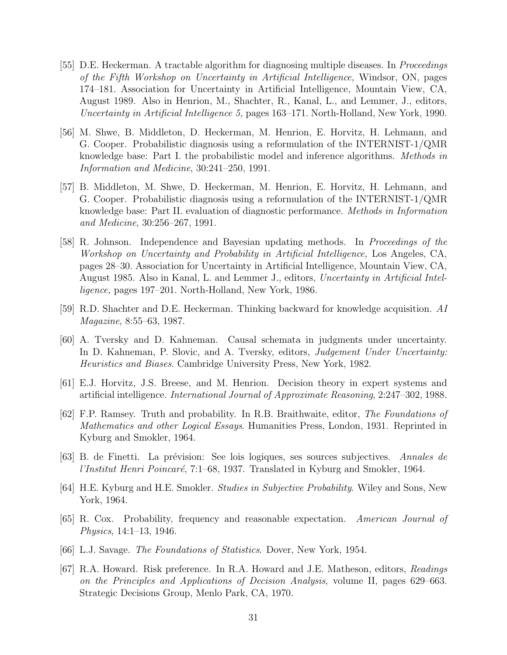- [55] D.E. Heckerman. A tractable algorithm for diagnosing multiple diseases. In Proceedings of the Fifth Workshop on Uncertainty in Artificial Intelligence, Windsor, ON, pages 174–181. Association for Uncertainty in Artificial Intelligence, Mountain View, CA, August 1989. Also in Henrion, M., Shachter, R., Kanal, L., and Lemmer, J., editors, Uncertainty in Artificial Intelligence 5, pages 163–171. North-Holland, New York, 1990.
- [56] M. Shwe, B. Middleton, D. Heckerman, M. Henrion, E. Horvitz, H. Lehmann, and G. Cooper. Probabilistic diagnosis using a reformulation of the INTERNIST-1/QMR knowledge base: Part I. the probabilistic model and inference algorithms. Methods in Information and Medicine, 30:241–250, 1991.
- [57] B. Middleton, M. Shwe, D. Heckerman, M. Henrion, E. Horvitz, H. Lehmann, and G. Cooper. Probabilistic diagnosis using a reformulation of the INTERNIST-1/QMR knowledge base: Part II. evaluation of diagnostic performance. Methods in Information and Medicine, 30:256–267, 1991.
- [58] R. Johnson. Independence and Bayesian updating methods. In Proceedings of the Workshop on Uncertainty and Probability in Artificial Intelligence, Los Angeles, CA, pages 28–30. Association for Uncertainty in Artificial Intelligence, Mountain View, CA, August 1985. Also in Kanal, L. and Lemmer J., editors, Uncertainty in Artificial Intelligence, pages 197–201. North-Holland, New York, 1986.
- [59] R.D. Shachter and D.E. Heckerman. Thinking backward for knowledge acquisition. AI Magazine, 8:55–63, 1987.
- [60] A. Tversky and D. Kahneman. Causal schemata in judgments under uncertainty. In D. Kahneman, P. Slovic, and A. Tversky, editors, *Judgement Under Uncertainty:* Heuristics and Biases. Cambridge University Press, New York, 1982.
- [61] E.J. Horvitz, J.S. Breese, and M. Henrion. Decision theory in expert systems and artificial intelligence. International Journal of Approximate Reasoning, 2:247–302, 1988.
- [62] F.P. Ramsey. Truth and probability. In R.B. Braithwaite, editor, The Foundations of Mathematics and other Logical Essays. Humanities Press, London, 1931. Reprinted in Kyburg and Smokler, 1964.
- [63] B. de Finetti. La prévision: See lois logiques, ses sources subjectives. Annales de l'Institut Henri Poincaré, 7:1–68, 1937. Translated in Kyburg and Smokler, 1964.
- [64] H.E. Kyburg and H.E. Smokler. Studies in Subjective Probability. Wiley and Sons, New York, 1964.
- [65] R. Cox. Probability, frequency and reasonable expectation. American Journal of Physics, 14:1–13, 1946.
- [66] L.J. Savage. The Foundations of Statistics. Dover, New York, 1954.
- [67] R.A. Howard. Risk preference. In R.A. Howard and J.E. Matheson, editors, Readings on the Principles and Applications of Decision Analysis, volume II, pages 629–663. Strategic Decisions Group, Menlo Park, CA, 1970.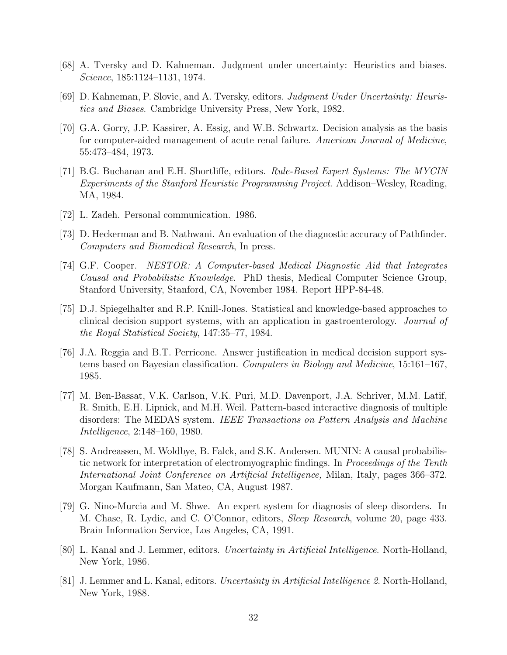- [68] A. Tversky and D. Kahneman. Judgment under uncertainty: Heuristics and biases. Science, 185:1124–1131, 1974.
- [69] D. Kahneman, P. Slovic, and A. Tversky, editors. Judgment Under Uncertainty: Heuristics and Biases. Cambridge University Press, New York, 1982.
- [70] G.A. Gorry, J.P. Kassirer, A. Essig, and W.B. Schwartz. Decision analysis as the basis for computer-aided management of acute renal failure. American Journal of Medicine, 55:473–484, 1973.
- [71] B.G. Buchanan and E.H. Shortliffe, editors. Rule-Based Expert Systems: The MYCIN Experiments of the Stanford Heuristic Programming Project. Addison–Wesley, Reading, MA, 1984.
- [72] L. Zadeh. Personal communication. 1986.
- [73] D. Heckerman and B. Nathwani. An evaluation of the diagnostic accuracy of Pathfinder. Computers and Biomedical Research, In press.
- [74] G.F. Cooper. NESTOR: A Computer-based Medical Diagnostic Aid that Integrates Causal and Probabilistic Knowledge. PhD thesis, Medical Computer Science Group, Stanford University, Stanford, CA, November 1984. Report HPP-84-48.
- [75] D.J. Spiegelhalter and R.P. Knill-Jones. Statistical and knowledge-based approaches to clinical decision support systems, with an application in gastroenterology. Journal of the Royal Statistical Society, 147:35–77, 1984.
- [76] J.A. Reggia and B.T. Perricone. Answer justification in medical decision support systems based on Bayesian classification. Computers in Biology and Medicine, 15:161–167, 1985.
- [77] M. Ben-Bassat, V.K. Carlson, V.K. Puri, M.D. Davenport, J.A. Schriver, M.M. Latif, R. Smith, E.H. Lipnick, and M.H. Weil. Pattern-based interactive diagnosis of multiple disorders: The MEDAS system. IEEE Transactions on Pattern Analysis and Machine Intelligence, 2:148–160, 1980.
- [78] S. Andreassen, M. Woldbye, B. Falck, and S.K. Andersen. MUNIN: A causal probabilistic network for interpretation of electromyographic findings. In Proceedings of the Tenth International Joint Conference on Artificial Intelligence, Milan, Italy, pages 366–372. Morgan Kaufmann, San Mateo, CA, August 1987.
- [79] G. Nino-Murcia and M. Shwe. An expert system for diagnosis of sleep disorders. In M. Chase, R. Lydic, and C. O'Connor, editors, Sleep Research, volume 20, page 433. Brain Information Service, Los Angeles, CA, 1991.
- [80] L. Kanal and J. Lemmer, editors. Uncertainty in Artificial Intelligence. North-Holland, New York, 1986.
- [81] J. Lemmer and L. Kanal, editors. *Uncertainty in Artificial Intelligence 2*. North-Holland, New York, 1988.